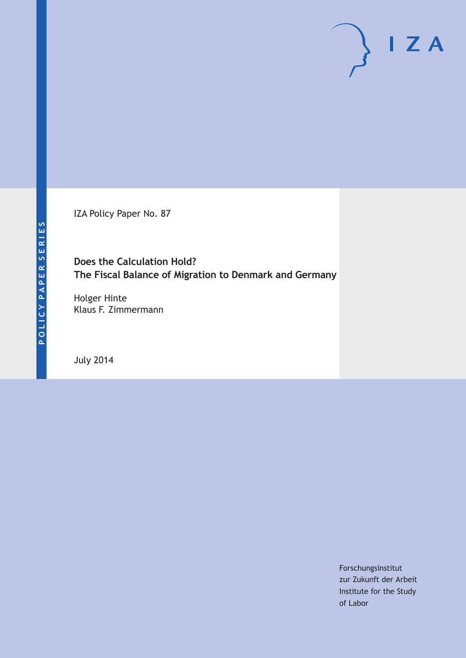IZA Policy Paper No. 87

# **Does the Calculation Hold? The Fiscal Balance of Migration to Denmark and Germany**

Holger Hinte Klaus F. Zimmermann

July 2014

Forschungsinstitut zur Zukunft der Arbeit Institute for the Study of Labor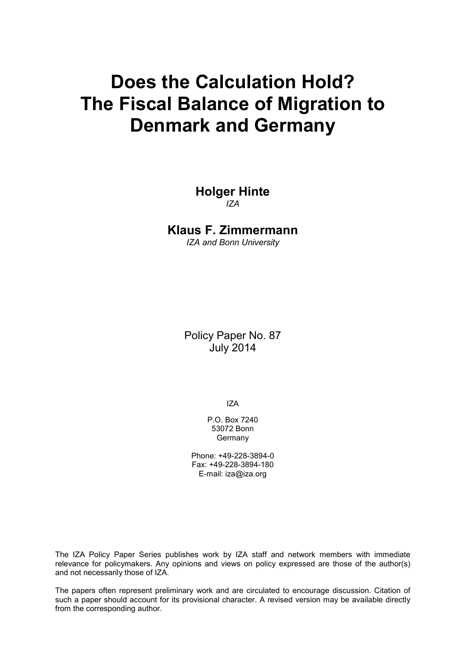# **Does the Calculation Hold? The Fiscal Balance of Migration to Denmark and Germany**

**Holger Hinte** *IZA*

## **Klaus F. Zimmermann**

*IZA and Bonn University*

Policy Paper No. 87 July 2014

IZA

P.O. Box 7240 53072 Bonn Germany

Phone: +49-228-3894-0 Fax: +49-228-3894-180 E-mail: [iza@iza.org](mailto:iza@iza.org)

<span id="page-1-0"></span>The IZA Policy Paper Series publishes work by IZA staff and network members with immediate relevance for policymakers. Any opinions and views on policy expressed are those of the author(s) and not necessarily those of IZA.

The papers often represent preliminary work and are circulated to encourage discussion. Citation of such a paper should account for its provisional character. A revised version may be available directly from the corresponding author.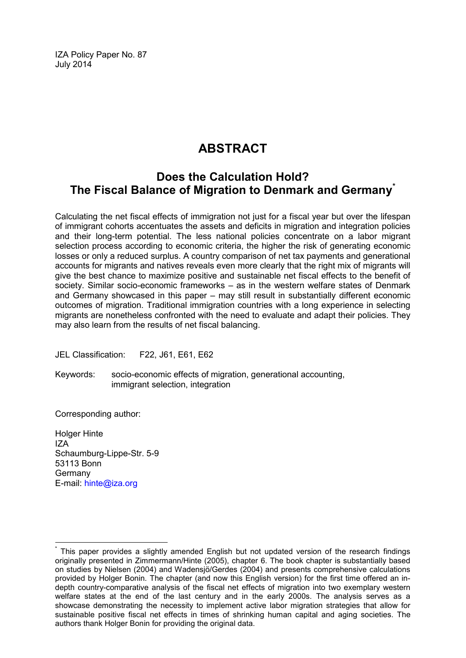IZA Policy Paper No. 87 July 2014

# **ABSTRACT**

# **Does the Calculation Hold? The Fiscal Balance of Migration to Denmark and Germany[\\*](#page-1-0)**

Calculating the net fiscal effects of immigration not just for a fiscal year but over the lifespan of immigrant cohorts accentuates the assets and deficits in migration and integration policies and their long-term potential. The less national policies concentrate on a labor migrant selection process according to economic criteria, the higher the risk of generating economic losses or only a reduced surplus. A country comparison of net tax payments and generational accounts for migrants and natives reveals even more clearly that the right mix of migrants will give the best chance to maximize positive and sustainable net fiscal effects to the benefit of society. Similar socio-economic frameworks – as in the western welfare states of Denmark and Germany showcased in this paper – may still result in substantially different economic outcomes of migration. Traditional immigration countries with a long experience in selecting migrants are nonetheless confronted with the need to evaluate and adapt their policies. They may also learn from the results of net fiscal balancing.

JEL Classification: F22, J61, E61, E62

Keywords: socio-economic effects of migration, generational accounting, immigrant selection, integration

Corresponding author:

Holger Hinte IZA Schaumburg-Lippe-Str. 5-9 53113 Bonn Germany E-mail: [hinte@iza.org](mailto:hinte@iza.org)

This paper provides a slightly amended English but not updated version of the research findings originally presented in Zimmermann/Hinte (2005), chapter 6. The book chapter is substantially based on studies by Nielsen (2004) and Wadensjö/Gerdes (2004) and presents comprehensive calculations provided by Holger Bonin. The chapter (and now this English version) for the first time offered an indepth country-comparative analysis of the fiscal net effects of migration into two exemplary western welfare states at the end of the last century and in the early 2000s. The analysis serves as a showcase demonstrating the necessity to implement active labor migration strategies that allow for sustainable positive fiscal net effects in times of shrinking human capital and aging societies. The authors thank Holger Bonin for providing the original data.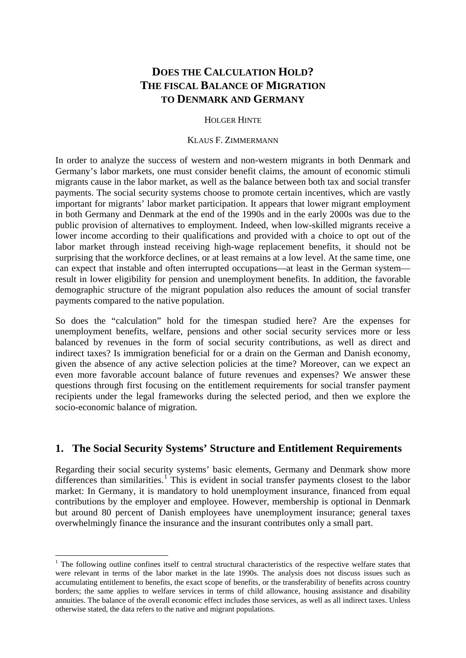# **DOES THE CALCULATION HOLD? THE FISCAL BALANCE OF MIGRATION TO DENMARK AND GERMANY**

#### HOLGER HINTE

#### KLAUS F. ZIMMERMANN

In order to analyze the success of western and non-western migrants in both Denmark and Germany's labor markets, one must consider benefit claims, the amount of economic stimuli migrants cause in the labor market, as well as the balance between both tax and social transfer payments. The social security systems choose to promote certain incentives, which are vastly important for migrants' labor market participation. It appears that lower migrant employment in both Germany and Denmark at the end of the 1990s and in the early 2000s was due to the public provision of alternatives to employment. Indeed, when low-skilled migrants receive a lower income according to their qualifications and provided with a choice to opt out of the labor market through instead receiving high-wage replacement benefits, it should not be surprising that the workforce declines, or at least remains at a low level. At the same time, one can expect that instable and often interrupted occupations—at least in the German system result in lower eligibility for pension and unemployment benefits. In addition, the favorable demographic structure of the migrant population also reduces the amount of social transfer payments compared to the native population.

So does the "calculation" hold for the timespan studied here? Are the expenses for unemployment benefits, welfare, pensions and other social security services more or less balanced by revenues in the form of social security contributions, as well as direct and indirect taxes? Is immigration beneficial for or a drain on the German and Danish economy, given the absence of any active selection policies at the time? Moreover, can we expect an even more favorable account balance of future revenues and expenses? We answer these questions through first focusing on the entitlement requirements for social transfer payment recipients under the legal frameworks during the selected period, and then we explore the socio-economic balance of migration.

## **1. The Social Security Systems' Structure and Entitlement Requirements**

Regarding their social security systems' basic elements, Germany and Denmark show more differences than similarities.<sup>[1](#page-3-0)</sup> This is evident in social transfer payments closest to the labor market: In Germany, it is mandatory to hold unemployment insurance, financed from equal contributions by the employer and employee. However, membership is optional in Denmark but around 80 percent of Danish employees have unemployment insurance; general taxes overwhelmingly finance the insurance and the insurant contributes only a small part.

<span id="page-3-1"></span><span id="page-3-0"></span> $<sup>1</sup>$  The following outline confines itself to central structural characteristics of the respective welfare states that</sup> were relevant in terms of the labor market in the late 1990s. The analysis does not discuss issues such as accumulating entitlement to benefits, the exact scope of benefits, or the transferability of benefits across country borders; the same applies to welfare services in terms of child allowance, housing assistance and disability annuities. The balance of the overall economic effect includes those services, as well as all indirect taxes. Unless otherwise stated, the data refers to the native and migrant populations.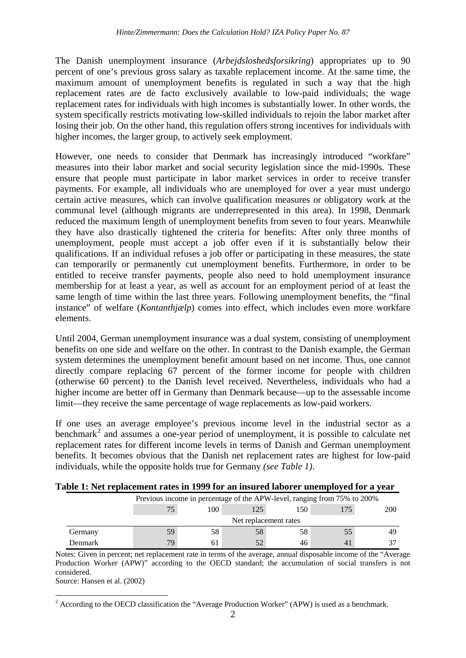The Danish unemployment insurance (*Arbejdsloshedsforsikring*) appropriates up to 90 percent of one's previous gross salary as taxable replacement income. At the same time, the maximum amount of unemployment benefits is regulated in such a way that the high replacement rates are de facto exclusively available to low-paid individuals; the wage replacement rates for individuals with high incomes is substantially lower. In other words, the system specifically restricts motivating low-skilled individuals to rejoin the labor market after losing their job. On the other hand, this regulation offers strong incentives for individuals with higher incomes, the larger group, to actively seek employment.

However, one needs to consider that Denmark has increasingly introduced "workfare" measures into their labor market and social security legislation since the mid-1990s. These ensure that people must participate in labor market services in order to receive transfer payments. For example, all individuals who are unemployed for over a year must undergo certain active measures, which can involve qualification measures or obligatory work at the communal level (although migrants are underrepresented in this area). In 1998, Denmark reduced the maximum length of unemployment benefits from seven to four years. Meanwhile they have also drastically tightened the criteria for benefits: After only three months of unemployment, people must accept a job offer even if it is substantially below their qualifications. If an individual refuses a job offer or participating in these measures, the state can temporarily or permanently cut unemployment benefits. Furthermore, in order to be entitled to receive transfer payments, people also need to hold unemployment insurance membership for at least a year, as well as account for an employment period of at least the same length of time within the last three years. Following unemployment benefits, the "final instance" of welfare (*Kontanthjælp*) comes into effect, which includes even more workfare elements.

Until 2004, German unemployment insurance was a dual system, consisting of unemployment benefits on one side and welfare on the other. In contrast to the Danish example, the German system determines the unemployment benefit amount based on net income. Thus, one cannot directly compare replacing 67 percent of the former income for people with children (otherwise 60 percent) to the Danish level received. Nevertheless, individuals who had a higher income are better off in Germany than Denmark because—up to the assessable income limit—they receive the same percentage of wage replacements as low-paid workers.

If one uses an average employee's previous income level in the industrial sector as a benchmark<sup>[2](#page-3-1)</sup> and assumes a one-year period of unemployment, it is possible to calculate net replacement rates for different income levels in terms of Danish and German unemployment benefits. It becomes obvious that the Danish net replacement rates are highest for low-paid individuals, while the opposite holds true for Germany *(see Table 1)*.

| гаян 1, тестериссинен таке нгтэээ тог ан нюагса ноотог ансирготса тог а теаг |                       |                                                                          |     |     |    |     |  |  |
|------------------------------------------------------------------------------|-----------------------|--------------------------------------------------------------------------|-----|-----|----|-----|--|--|
|                                                                              |                       | Previous income in percentage of the APW-level, ranging from 75% to 200% |     |     |    |     |  |  |
|                                                                              | 75                    | 100                                                                      | 125 | 150 |    | 200 |  |  |
|                                                                              | Net replacement rates |                                                                          |     |     |    |     |  |  |
| Germany                                                                      | 59                    | 58                                                                       | 58  | 58  |    | 49  |  |  |
| Denmark                                                                      | 79                    | 61                                                                       |     | 46  | 41 | 27  |  |  |

Notes: Given in percent; net replacement rate in terms of the average, annual disposable income of the "Average Production Worker (APW)" according to the OECD standard; the accumulation of social transfers is not considered.

<span id="page-4-0"></span>Source: Hansen et al. (2002)

<sup>&</sup>lt;sup>2</sup> According to the OECD classification the "Average Production Worker" (APW) is used as a benchmark.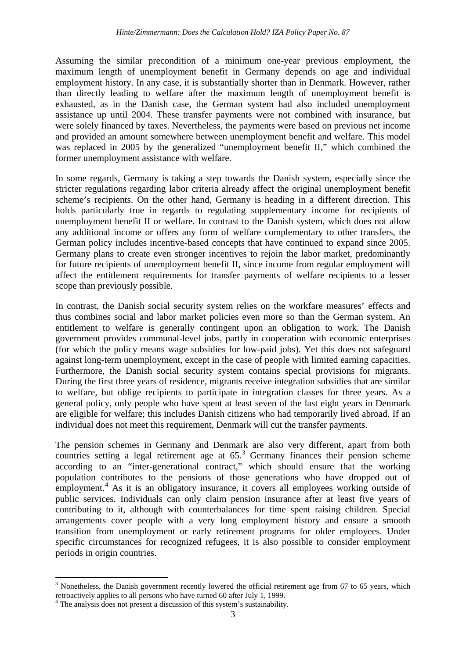Assuming the similar precondition of a minimum one-year previous employment, the maximum length of unemployment benefit in Germany depends on age and individual employment history. In any case, it is substantially shorter than in Denmark. However, rather than directly leading to welfare after the maximum length of unemployment benefit is exhausted, as in the Danish case, the German system had also included unemployment assistance up until 2004. These transfer payments were not combined with insurance, but were solely financed by taxes. Nevertheless, the payments were based on previous net income and provided an amount somewhere between unemployment benefit and welfare. This model was replaced in 2005 by the generalized "unemployment benefit II," which combined the former unemployment assistance with welfare.

In some regards, Germany is taking a step towards the Danish system, especially since the stricter regulations regarding labor criteria already affect the original unemployment benefit scheme's recipients. On the other hand, Germany is heading in a different direction. This holds particularly true in regards to regulating supplementary income for recipients of unemployment benefit II or welfare. In contrast to the Danish system, which does not allow any additional income or offers any form of welfare complementary to other transfers, the German policy includes incentive-based concepts that have continued to expand since 2005. Germany plans to create even stronger incentives to rejoin the labor market, predominantly for future recipients of unemployment benefit II, since income from regular employment will affect the entitlement requirements for transfer payments of welfare recipients to a lesser scope than previously possible.

In contrast, the Danish social security system relies on the workfare measures' effects and thus combines social and labor market policies even more so than the German system. An entitlement to welfare is generally contingent upon an obligation to work. The Danish government provides communal-level jobs, partly in cooperation with economic enterprises (for which the policy means wage subsidies for low-paid jobs). Yet this does not safeguard against long-term unemployment, except in the case of people with limited earning capacities. Furthermore, the Danish social security system contains special provisions for migrants. During the first three years of residence, migrants receive integration subsidies that are similar to welfare, but oblige recipients to participate in integration classes for three years. As a general policy, only people who have spent at least seven of the last eight years in Denmark are eligible for welfare; this includes Danish citizens who had temporarily lived abroad. If an individual does not meet this requirement, Denmark will cut the transfer payments.

The pension schemes in Germany and Denmark are also very different, apart from both countries setting a legal retirement age at 65.<sup>[3](#page-4-0)</sup> Germany finances their pension scheme according to an "inter-generational contract," which should ensure that the working population contributes to the pensions of those generations who have dropped out of employment.<sup>[4](#page-5-0)</sup> As it is an obligatory insurance, it covers all employees working outside of public services. Individuals can only claim pension insurance after at least five years of contributing to it, although with counterbalances for time spent raising children. Special arrangements cover people with a very long employment history and ensure a smooth transition from unemployment or early retirement programs for older employees. Under specific circumstances for recognized refugees, it is also possible to consider employment periods in origin countries.

 $3$  Nonetheless, the Danish government recently lowered the official retirement age from 67 to 65 years, which retroactively applies to all persons who have turned 60 after July 1, 1999.

<span id="page-5-1"></span><span id="page-5-0"></span> $\frac{4}{1}$  The analysis does not present a discussion of this system's sustainability.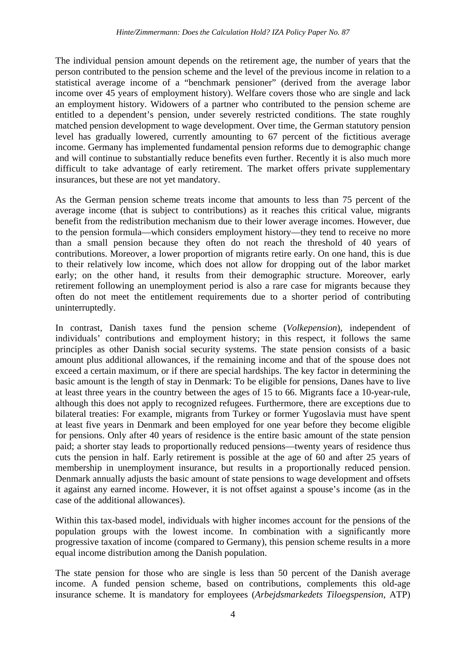The individual pension amount depends on the retirement age, the number of years that the person contributed to the pension scheme and the level of the previous income in relation to a statistical average income of a "benchmark pensioner" (derived from the average labor income over 45 years of employment history). Welfare covers those who are single and lack an employment history. Widowers of a partner who contributed to the pension scheme are entitled to a dependent's pension, under severely restricted conditions. The state roughly matched pension development to wage development. Over time, the German statutory pension level has gradually lowered, currently amounting to 67 percent of the fictitious average income. Germany has implemented fundamental pension reforms due to demographic change and will continue to substantially reduce benefits even further. Recently it is also much more difficult to take advantage of early retirement. The market offers private supplementary insurances, but these are not yet mandatory.

As the German pension scheme treats income that amounts to less than 75 percent of the average income (that is subject to contributions) as it reaches this critical value, migrants benefit from the redistribution mechanism due to their lower average incomes. However, due to the pension formula—which considers employment history—they tend to receive no more than a small pension because they often do not reach the threshold of 40 years of contributions. Moreover, a lower proportion of migrants retire early. On one hand, this is due to their relatively low income, which does not allow for dropping out of the labor market early; on the other hand, it results from their demographic structure. Moreover, early retirement following an unemployment period is also a rare case for migrants because they often do not meet the entitlement requirements due to a shorter period of contributing uninterruptedly.

In contrast, Danish taxes fund the pension scheme (*Volkepension*), independent of individuals' contributions and employment history; in this respect, it follows the same principles as other Danish social security systems. The state pension consists of a basic amount plus additional allowances, if the remaining income and that of the spouse does not exceed a certain maximum, or if there are special hardships. The key factor in determining the basic amount is the length of stay in Denmark: To be eligible for pensions, Danes have to live at least three years in the country between the ages of 15 to 66. Migrants face a 10-year-rule, although this does not apply to recognized refugees. Furthermore, there are exceptions due to bilateral treaties: For example, migrants from Turkey or former Yugoslavia must have spent at least five years in Denmark and been employed for one year before they become eligible for pensions. Only after 40 years of residence is the entire basic amount of the state pension paid; a shorter stay leads to proportionally reduced pensions—twenty years of residence thus cuts the pension in half. Early retirement is possible at the age of 60 and after 25 years of membership in unemployment insurance, but results in a proportionally reduced pension. Denmark annually adjusts the basic amount of state pensions to wage development and offsets it against any earned income. However, it is not offset against a spouse's income (as in the case of the additional allowances).

Within this tax-based model, individuals with higher incomes account for the pensions of the population groups with the lowest income. In combination with a significantly more progressive taxation of income (compared to Germany), this pension scheme results in a more equal income distribution among the Danish population.

The state pension for those who are single is less than 50 percent of the Danish average income. A funded pension scheme, based on contributions, complements this old-age insurance scheme. It is mandatory for employees (*Arbejdsmarkedets Tiloegspension*, ATP)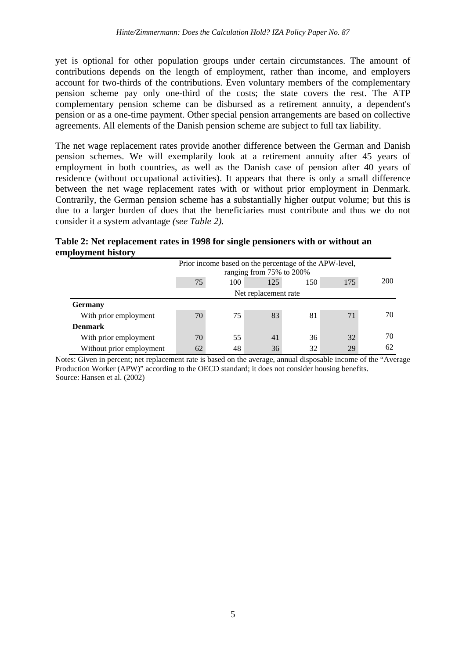yet is optional for other population groups under certain circumstances. The amount of contributions depends on the length of employment, rather than income, and employers account for two-thirds of the contributions. Even voluntary members of the complementary pension scheme pay only one-third of the costs; the state covers the rest. The ATP complementary pension scheme can be disbursed as a retirement annuity, a dependent's pension or as a one-time payment. Other special pension arrangements are based on collective agreements. All elements of the Danish pension scheme are subject to full tax liability.

The net wage replacement rates provide another difference between the German and Danish pension schemes. We will exemplarily look at a retirement annuity after 45 years of employment in both countries, as well as the Danish case of pension after 40 years of residence (without occupational activities). It appears that there is only a small difference between the net wage replacement rates with or without prior employment in Denmark. Contrarily, the German pension scheme has a substantially higher output volume; but this is due to a larger burden of dues that the beneficiaries must contribute and thus we do not consider it a system advantage *(see Table 2)*.

|                    | Table 2: Net replacement rates in 1998 for single pensioners with or without an |  |  |  |
|--------------------|---------------------------------------------------------------------------------|--|--|--|
| employment history |                                                                                 |  |  |  |

|                          | Prior income based on the percentage of the APW-level, |                          |                      |     |     |     |  |  |
|--------------------------|--------------------------------------------------------|--------------------------|----------------------|-----|-----|-----|--|--|
|                          |                                                        | ranging from 75% to 200% |                      |     |     |     |  |  |
|                          | 75                                                     | 100                      | 125                  | 150 | 175 | 200 |  |  |
|                          |                                                        |                          | Net replacement rate |     |     |     |  |  |
| <b>Germany</b>           |                                                        |                          |                      |     |     |     |  |  |
| With prior employment    | 70                                                     | 75                       | 83                   | 81  | 71  | 70  |  |  |
| <b>Denmark</b>           |                                                        |                          |                      |     |     |     |  |  |
| With prior employment    | 70                                                     | 55                       | 41                   | 36  | 32  | 70  |  |  |
| Without prior employment | 62                                                     | 48                       | 36                   | 32  | 29  | 62  |  |  |

Notes: Given in percent; net replacement rate is based on the average, annual disposable income of the "Average Production Worker (APW)" according to the OECD standard; it does not consider housing benefits. Source: Hansen et al. (2002)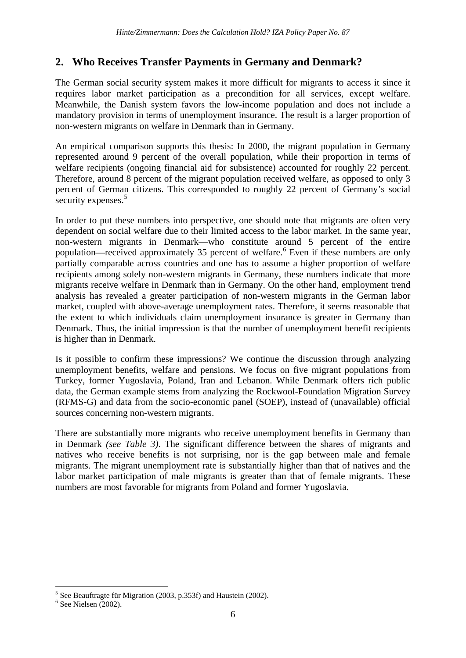# **2. Who Receives Transfer Payments in Germany and Denmark?**

The German social security system makes it more difficult for migrants to access it since it requires labor market participation as a precondition for all services, except welfare. Meanwhile, the Danish system favors the low-income population and does not include a mandatory provision in terms of unemployment insurance. The result is a larger proportion of non-western migrants on welfare in Denmark than in Germany.

An empirical comparison supports this thesis: In 2000, the migrant population in Germany represented around 9 percent of the overall population, while their proportion in terms of welfare recipients (ongoing financial aid for subsistence) accounted for roughly 22 percent. Therefore, around 8 percent of the migrant population received welfare, as opposed to only 3 percent of German citizens. This corresponded to roughly 22 percent of Germany's social security expenses.<sup>[5](#page-5-1)</sup>

In order to put these numbers into perspective, one should note that migrants are often very dependent on social welfare due to their limited access to the labor market. In the same year, non-western migrants in Denmark—who constitute around 5 percent of the entire population—received approximately 35 percent of welfare.<sup>[6](#page-8-0)</sup> Even if these numbers are only partially comparable across countries and one has to assume a higher proportion of welfare recipients among solely non-western migrants in Germany, these numbers indicate that more migrants receive welfare in Denmark than in Germany. On the other hand, employment trend analysis has revealed a greater participation of non-western migrants in the German labor market, coupled with above-average unemployment rates. Therefore, it seems reasonable that the extent to which individuals claim unemployment insurance is greater in Germany than Denmark. Thus, the initial impression is that the number of unemployment benefit recipients is higher than in Denmark.

Is it possible to confirm these impressions? We continue the discussion through analyzing unemployment benefits, welfare and pensions. We focus on five migrant populations from Turkey, former Yugoslavia, Poland, Iran and Lebanon. While Denmark offers rich public data, the German example stems from analyzing the Rockwool-Foundation Migration Survey (RFMS-G) and data from the socio-economic panel (SOEP), instead of (unavailable) official sources concerning non-western migrants.

There are substantially more migrants who receive unemployment benefits in Germany than in Denmark *(see Table 3)*. The significant difference between the shares of migrants and natives who receive benefits is not surprising, nor is the gap between male and female migrants. The migrant unemployment rate is substantially higher than that of natives and the labor market participation of male migrants is greater than that of female migrants. These numbers are most favorable for migrants from Poland and former Yugoslavia.

<sup>&</sup>lt;sup>5</sup> See Beauftragte für Migration (2003, p.353f) and Haustein (2002). <sup>6</sup> See Nielsen (2002).

<span id="page-8-0"></span>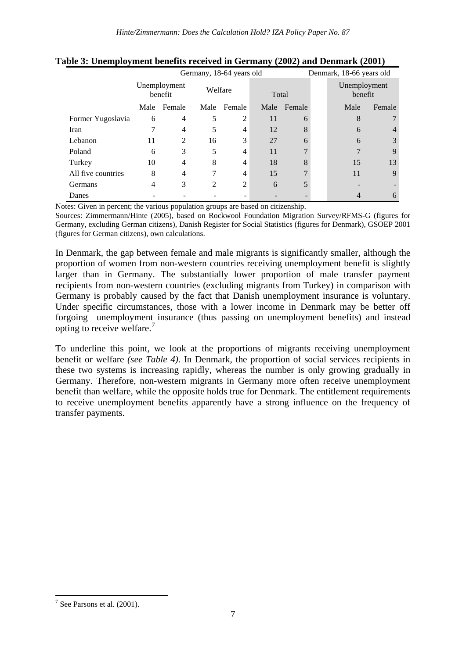|                    | Germany, 18-64 years old |        |                |        |       | Denmark, 18-66 years old |                         |                |
|--------------------|--------------------------|--------|----------------|--------|-------|--------------------------|-------------------------|----------------|
|                    | Unemployment<br>benefit  |        | Welfare        |        | Total |                          | Unemployment<br>benefit |                |
|                    | Male                     | Female | Male           | Female | Male  | Female                   | Male                    | Female         |
| Former Yugoslavia  | 6                        | 4      | 5              | 2      | 11    | 6                        | 8                       |                |
| Iran               |                          | 4      | 5              | 4      | 12    | 8                        | 6                       | $\overline{4}$ |
| Lebanon            | 11                       | 2      | 16             | 3      | 27    | 6                        | 6                       | 3              |
| Poland             | 6                        | 3      | 5              | 4      | 11    |                          |                         | 9              |
| Turkey             | 10                       | 4      | 8              | 4      | 18    |                          | 15                      | 13             |
| All five countries | 8                        | 4      |                | 4      | 15    |                          | 11                      | 9              |
| Germans            | 4                        | 3      | $\mathfrak{D}$ | 2      | 6     |                          |                         |                |
| Danes              |                          |        |                |        |       |                          |                         | 6              |

| Table 3: Unemployment benefits received in Germany (2002) and Denmark (2001) |
|------------------------------------------------------------------------------|
|------------------------------------------------------------------------------|

Notes: Given in percent; the various population groups are based on citizenship.

Sources: Zimmermann/Hinte (2005), based on Rockwool Foundation Migration Survey/RFMS-G (figures for Germany, excluding German citizens), Danish Register for Social Statistics (figures for Denmark), GSOEP 2001 (figures for German citizens), own calculations.

In Denmark, the gap between female and male migrants is significantly smaller, although the proportion of women from non-western countries receiving unemployment benefit is slightly larger than in Germany. The substantially lower proportion of male transfer payment recipients from non-western countries (excluding migrants from Turkey) in comparison with Germany is probably caused by the fact that Danish unemployment insurance is voluntary. Under specific circumstances, those with a lower income in Denmark may be better off forgoing unemployment insurance (thus passing on unemployment benefits) and instead opting to receive welfare.<sup>[7](#page-8-0)</sup>

To underline this point, we look at the proportions of migrants receiving unemployment benefit or welfare *(see Table 4)*. In Denmark, the proportion of social services recipients in these two systems is increasing rapidly, whereas the number is only growing gradually in Germany. Therefore, non-western migrants in Germany more often receive unemployment benefit than welfare, while the opposite holds true for Denmark. The entitlement requirements to receive unemployment benefits apparently have a strong influence on the frequency of transfer payments.

<span id="page-9-0"></span> $7$  See Parsons et al. (2001).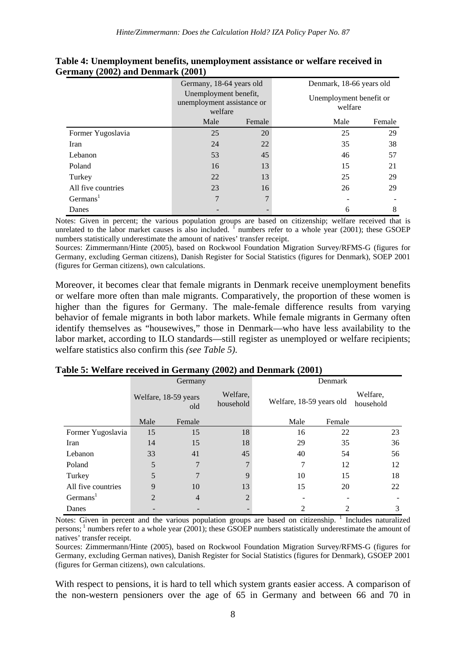|                      | Germany, 18-64 years old                                       |        |                                    | Denmark, 18-66 years old |  |
|----------------------|----------------------------------------------------------------|--------|------------------------------------|--------------------------|--|
|                      | Unemployment benefit,<br>unemployment assistance or<br>welfare |        | Unemployment benefit or<br>welfare |                          |  |
|                      | Male                                                           | Female | Male                               | Female                   |  |
| Former Yugoslavia    | 25                                                             | 20     | 25                                 | 29                       |  |
| Iran                 | 24                                                             | 22     | 35                                 | 38                       |  |
| Lebanon              | 53                                                             | 45     | 46                                 | 57                       |  |
| Poland               | 16                                                             | 13     | 15                                 | 21                       |  |
| Turkey               | 22                                                             | 13     | 25                                 | 29                       |  |
| All five countries   | 23                                                             | 16     | 26                                 | 29                       |  |
| Germans <sup>1</sup> |                                                                | 7      |                                    |                          |  |
| Danes                |                                                                |        | 6                                  | 8                        |  |

**Table 4: Unemployment benefits, unemployment assistance or welfare received in Germany (2002) and Denmark (2001)** 

Notes: Given in percent; the various population groups are based on citizenship; welfare received that is unrelated to the labor market causes is also included.  $\int$  numbers refer to a whole year (2001); these GSOEP numbers statistically underestimate the amount of natives' transfer receipt.

Sources: Zimmermann/Hinte (2005), based on Rockwool Foundation Migration Survey/RFMS-G (figures for Germany, excluding German citizens), Danish Register for Social Statistics (figures for Denmark), SOEP 2001 (figures for German citizens), own calculations.

Moreover, it becomes clear that female migrants in Denmark receive unemployment benefits or welfare more often than male migrants. Comparatively, the proportion of these women is higher than the figures for Germany. The male-female difference results from varying behavior of female migrants in both labor markets. While female migrants in Germany often identify themselves as "housewives," those in Denmark—who have less availability to the labor market, according to ILO standards—still register as unemployed or welfare recipients; welfare statistics also confirm this *(see Table 5)*.

|                      | Germany                     |                |                                                   | Denmark |        |                       |  |
|----------------------|-----------------------------|----------------|---------------------------------------------------|---------|--------|-----------------------|--|
|                      | Welfare, 18-59 years<br>old |                | Welfare,<br>Welfare, 18-59 years old<br>household |         |        | Welfare,<br>household |  |
|                      | Male                        | Female         |                                                   | Male    | Female |                       |  |
| Former Yugoslavia    | 15                          | 15             | 18                                                | 16      | 22     | 23                    |  |
| Iran                 | 14                          | 15             | 18                                                | 29      | 35     | 36                    |  |
| Lebanon              | 33                          | 41             | 45                                                | 40      | 54     | 56                    |  |
| Poland               | 5                           |                | 7                                                 | 7       | 12     | 12                    |  |
| Turkey               | 5                           |                | 9                                                 | 10      | 15     | 18                    |  |
| All five countries   | 9                           | 10             | 13                                                | 15      | 20     | 22                    |  |
| Germans <sup>1</sup> | 2                           | $\overline{4}$ | $\overline{2}$                                    |         |        |                       |  |
| Danes                |                             |                |                                                   |         | 2      | 3                     |  |

#### **Table 5: Welfare received in Germany (2002) and Denmark (2001)**

Notes: Given in percent and the various population groups are based on citizenship. Includes naturalized persons;  $\frac{1}{1}$  numbers refer to a whole year (2001); these GSOEP numbers statistically underestimate the amount of natives' transfer receipt.

Sources: Zimmermann/Hinte (2005), based on Rockwool Foundation Migration Survey/RFMS-G (figures for Germany, excluding German natives), Danish Register for Social Statistics (figures for Denmark), GSOEP 2001 (figures for German citizens), own calculations.

With respect to pensions, it is hard to tell which system grants easier access. A comparison of the non-western pensioners over the age of 65 in Germany and between 66 and 70 in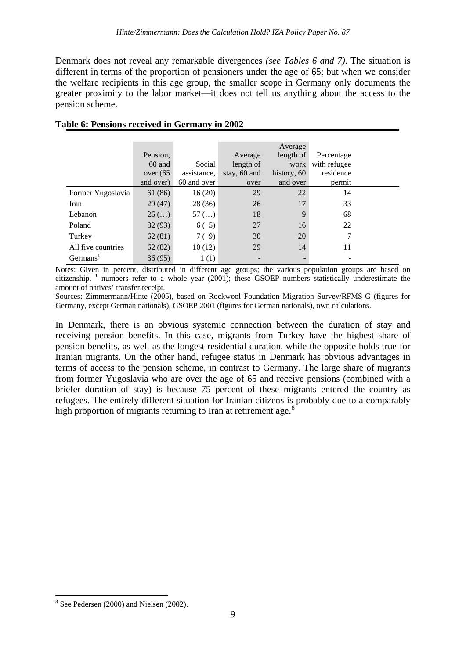Denmark does not reveal any remarkable divergences *(see Tables 6 and 7)*. The situation is different in terms of the proportion of pensioners under the age of 65; but when we consider the welfare recipients in this age group, the smaller scope in Germany only documents the greater proximity to the labor market—it does not tell us anything about the access to the pension scheme.

|                      | Pension,<br>60 and<br>over(65)<br>and over) | Social<br>assistance.<br>60 and over | Average<br>length of<br>stay, 60 and<br>over | Average<br>length of<br>work<br>history, 60<br>and over | Percentage<br>with refugee<br>residence<br>permit |  |
|----------------------|---------------------------------------------|--------------------------------------|----------------------------------------------|---------------------------------------------------------|---------------------------------------------------|--|
| Former Yugoslavia    | 61 (86)                                     | 16(20)                               | 29                                           | 22                                                      | 14                                                |  |
| Iran                 | 29(47)                                      | 28(36)                               | 26                                           | 17                                                      | 33                                                |  |
| Lebanon              | $26$ ()                                     | $57$ ()                              | 18                                           | 9                                                       | 68                                                |  |
| Poland               | 82 (93)                                     | 6(5)                                 | 27                                           | 16                                                      | 22                                                |  |
| Turkey               | 62(81)                                      | 7(9)                                 | 30                                           | 20                                                      | 7                                                 |  |
| All five countries   | 62(82)                                      | 10(12)                               | 29                                           | 14                                                      | 11                                                |  |
| Germans <sup>1</sup> | 86 (95)                                     | 1(1)                                 |                                              |                                                         |                                                   |  |

#### **Table 6: Pensions received in Germany in 2002**

Notes: Given in percent, distributed in different age groups; the various population groups are based on citizenship. <sup>1</sup> numbers refer to a whole year (2001); these GSOEP numbers statistically underestimate the amount of natives' transfer receipt.

Sources: Zimmermann/Hinte (2005), based on Rockwool Foundation Migration Survey/RFMS-G (figures for Germany, except German nationals), GSOEP 2001 (figures for German nationals), own calculations.

In Denmark, there is an obvious systemic connection between the duration of stay and receiving pension benefits. In this case, migrants from Turkey have the highest share of pension benefits, as well as the longest residential duration, while the opposite holds true for Iranian migrants. On the other hand, refugee status in Denmark has obvious advantages in terms of access to the pension scheme, in contrast to Germany. The large share of migrants from former Yugoslavia who are over the age of 65 and receive pensions (combined with a briefer duration of stay) is because 75 percent of these migrants entered the country as refugees. The entirely different situation for Iranian citizens is probably due to a comparably high proportion of migrants returning to Iran at retirement age.<sup>[8](#page-9-0)</sup>

<span id="page-11-0"></span> <sup>8</sup> See Pedersen (2000) and Nielsen (2002).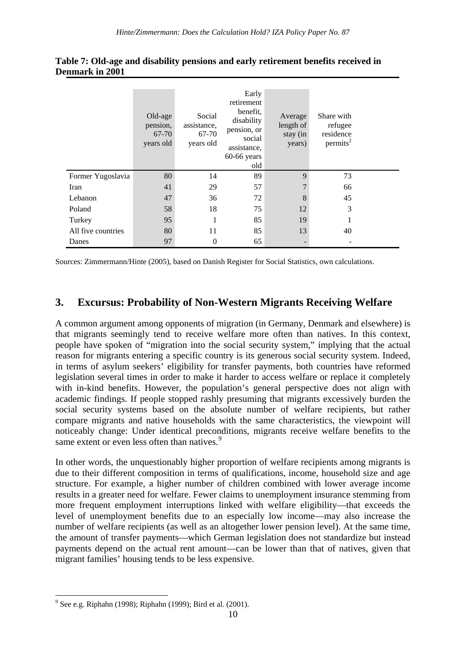|                    | Old-age<br>pension,<br>67-70<br>years old | Social<br>assistance,<br>67-70<br>years old | Early<br>retirement<br>benefit,<br>disability<br>pension, or<br>social<br>assistance,<br>$60-66$ years<br>old | Average<br>length of<br>stay (in<br>years) | Share with<br>refugee<br>residence<br>permits <sup>2</sup> |  |
|--------------------|-------------------------------------------|---------------------------------------------|---------------------------------------------------------------------------------------------------------------|--------------------------------------------|------------------------------------------------------------|--|
| Former Yugoslavia  | 80                                        | 14                                          | 89                                                                                                            | 9                                          | 73                                                         |  |
| Iran               | 41                                        | 29                                          | 57                                                                                                            | 7                                          | 66                                                         |  |
| Lebanon            | 47                                        | 36                                          | 72                                                                                                            | 8                                          | 45                                                         |  |
| Poland             | 58                                        | 18                                          | 75                                                                                                            | 12                                         | 3                                                          |  |
| Turkey             | 95                                        | 1                                           | 85                                                                                                            | 19                                         |                                                            |  |
| All five countries | 80                                        | 11                                          | 85                                                                                                            | 13                                         | 40                                                         |  |
| Danes              | 97                                        | $\theta$                                    | 65                                                                                                            |                                            |                                                            |  |

#### **Table 7: Old-age and disability pensions and early retirement benefits received in Denmark in 2001**

Sources: Zimmermann/Hinte (2005), based on Danish Register for Social Statistics, own calculations.

## **3. Excursus: Probability of Non-Western Migrants Receiving Welfare**

A common argument among opponents of migration (in Germany, Denmark and elsewhere) is that migrants seemingly tend to receive welfare more often than natives. In this context, people have spoken of "migration into the social security system," implying that the actual reason for migrants entering a specific country is its generous social security system. Indeed, in terms of asylum seekers' eligibility for transfer payments, both countries have reformed legislation several times in order to make it harder to access welfare or replace it completely with in-kind benefits. However, the population's general perspective does not align with academic findings. If people stopped rashly presuming that migrants excessively burden the social security systems based on the absolute number of welfare recipients, but rather compare migrants and native households with the same characteristics, the viewpoint will noticeably change: Under identical preconditions, migrants receive welfare benefits to the same extent or even less often than natives.<sup>[9](#page-11-0)</sup>

In other words, the unquestionably higher proportion of welfare recipients among migrants is due to their different composition in terms of qualifications, income, household size and age structure. For example, a higher number of children combined with lower average income results in a greater need for welfare. Fewer claims to unemployment insurance stemming from more frequent employment interruptions linked with welfare eligibility—that exceeds the level of unemployment benefits due to an especially low income—may also increase the number of welfare recipients (as well as an altogether lower pension level). At the same time, the amount of transfer payments—which German legislation does not standardize but instead payments depend on the actual rent amount—can be lower than that of natives, given that migrant families' housing tends to be less expensive.

<span id="page-12-0"></span> $9^9$  See e.g. Riphahn (1998); Riphahn (1999); Bird et al. (2001).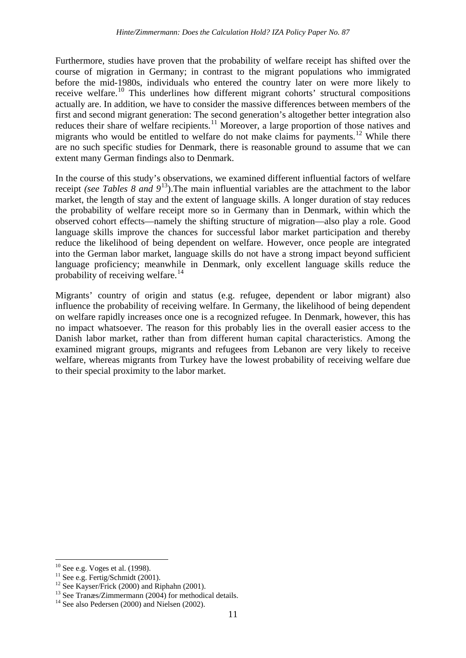Furthermore, studies have proven that the probability of welfare receipt has shifted over the course of migration in Germany; in contrast to the migrant populations who immigrated before the mid-1980s, individuals who entered the country later on were more likely to receive welfare.<sup>[10](#page-12-0)</sup> This underlines how different migrant cohorts' structural compositions actually are. In addition, we have to consider the massive differences between members of the first and second migrant generation: The second generation's altogether better integration also reduces their share of welfare recipients.<sup>[11](#page-13-0)</sup> Moreover, a large proportion of those natives and migrants who would be entitled to welfare do not make claims for payments.<sup>[12](#page-13-1)</sup> While there are no such specific studies for Denmark, there is reasonable ground to assume that we can extent many German findings also to Denmark.

In the course of this study's observations, we examined different influential factors of welfare receipt *(see Tables 8 and 9*[13](#page-13-2)).The main influential variables are the attachment to the labor market, the length of stay and the extent of language skills. A longer duration of stay reduces the probability of welfare receipt more so in Germany than in Denmark, within which the observed cohort effects—namely the shifting structure of migration—also play a role. Good language skills improve the chances for successful labor market participation and thereby reduce the likelihood of being dependent on welfare. However, once people are integrated into the German labor market, language skills do not have a strong impact beyond sufficient language proficiency; meanwhile in Denmark, only excellent language skills reduce the probability of receiving welfare.<sup>[14](#page-13-3)</sup>

Migrants' country of origin and status (e.g. refugee, dependent or labor migrant) also influence the probability of receiving welfare. In Germany, the likelihood of being dependent on welfare rapidly increases once one is a recognized refugee. In Denmark, however, this has no impact whatsoever. The reason for this probably lies in the overall easier access to the Danish labor market, rather than from different human capital characteristics. Among the examined migrant groups, migrants and refugees from Lebanon are very likely to receive welfare, whereas migrants from Turkey have the lowest probability of receiving welfare due to their special proximity to the labor market.

<span id="page-13-0"></span>

<span id="page-13-2"></span><span id="page-13-1"></span>

<span id="page-13-4"></span><sup>&</sup>lt;sup>10</sup> See e.g. Voges et al. (1998).<br><sup>11</sup> See e.g. Fertig/Schmidt (2001).<br><sup>12</sup> See Kayser/Frick (2000) and Riphahn (2001).<br><sup>13</sup> See Tranæs/Zimmermann (2004) for methodical details.<br><sup>14</sup> See also Pedersen (2000) and Nielsen

<span id="page-13-3"></span>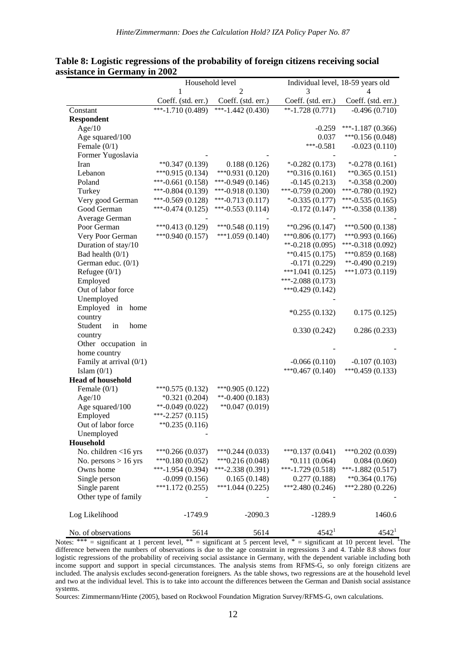|                           | Household level                   |                     |                              | Individual level, 18-59 years old |
|---------------------------|-----------------------------------|---------------------|------------------------------|-----------------------------------|
|                           | 1                                 | 2                   | 3                            |                                   |
|                           | Coeff. (std. err.)                | Coeff. (std. err.)  | Coeff. (std. err.)           | Coeff. (std. err.)                |
| Constant                  | $\sqrt{\frac{1}{2}+1.710(0.489)}$ | ***-1.442 $(0.430)$ | $*+1.728(0.771)$             | $-0.496(0.710)$                   |
| <b>Respondent</b>         |                                   |                     |                              |                                   |
| Age/10                    |                                   |                     | $-0.259$                     | $***-1.187(0.366)$                |
| Age squared/100           |                                   |                     | 0.037                        | *** 0.156 $(0.048)$               |
| Female $(0/1)$            |                                   |                     | $***-0.581$                  | $-0.023(0.110)$                   |
| Former Yugoslavia         |                                   |                     |                              |                                   |
| Iran                      | $*$ $0.347(0.139)$                | 0.188(0.126)        | $*$ -0.282 (0.173)           | $*-0.278(0.161)$                  |
| Lebanon                   | $***0.915(0.134)$                 | $***0.931(0.120)$   | $*$ <sup>0.316</sup> (0.161) | $*$ *0.365 (0.151)                |
| Poland                    | $***-0.661(0.158)$                | $***-0.949(0.146)$  | $-0.145(0.213)$              | $*$ -0.358 (0.200)                |
| Turkey                    | $***-0.804(0.139)$                | $***-0.918(0.130)$  | $***-0.759(0.200)$           | $***-0.780(0.192)$                |
| Very good German          | ***-0.569 $(0.128)$               | $***-0.713(0.117)$  | $*$ -0.335 (0.177)           | $***-0.535(0.165)$                |
| Good German               | ***-0.474 $(0.125)$               | ***-0.553 $(0.114)$ | $-0.172(0.147)$              | ***-0.358 $(0.138)$               |
| Average German            |                                   |                     |                              |                                   |
| Poor German               | $***0.413(0.129)$                 | $***0.548(0.119)$   | $*$ 0.296 (0.147)            | $***0.500(0.138)$                 |
| Very Poor German          | $***0.940(0.157)$                 | $***1.059(0.140)$   | $***0.806(0.177)$            | $***0.993(0.166)$                 |
| Duration of stay/10       |                                   |                     | $*$ -0.218 (0.095)           | $***-0.318(0.092)$                |
| Bad health $(0/1)$        |                                   |                     | $*$ $0.415(0.175)$           | *** $0.859(0.168)$                |
| German educ. (0/1)        |                                   |                     | $-0.171(0.229)$              | $*$ -0.490 (0.219)                |
| Refugee $(0/1)$           |                                   |                     | $***1.041(0.125)$            | $***1.073(0.119)$                 |
| Employed                  |                                   |                     | $***-2.088(0.173)$           |                                   |
| Out of labor force        |                                   |                     | $***0.429(0.142)$            |                                   |
| Unemployed                |                                   |                     |                              |                                   |
| Employed in<br>home       |                                   |                     |                              |                                   |
| country                   |                                   |                     | $*0.255(0.132)$              | 0.175(0.125)                      |
| Student<br>in<br>home     |                                   |                     |                              |                                   |
| country                   |                                   |                     | 0.330(0.242)                 | 0.286(0.233)                      |
| Other occupation in       |                                   |                     |                              |                                   |
| home country              |                                   |                     |                              |                                   |
| Family at arrival $(0/1)$ |                                   |                     | $-0.066(0.110)$              | $-0.107(0.103)$                   |
| Islam $(0/1)$             |                                   |                     | $***0.467(0.140)$            | $***0.459(0.133)$                 |
| <b>Head of household</b>  |                                   |                     |                              |                                   |
| Female $(0/1)$            | $***0.575(0.132)$                 | *** 0.905 $(0.122)$ |                              |                                   |
| Age/10                    | $*0.321(0.204)$                   | $*$ -0.400 (0.183)  |                              |                                   |
| Age squared/100           | $*$ -0.049 (0.022)                | $*$ 0.047 (0.019)   |                              |                                   |
| Employed                  | $***-2.257(0.115)$                |                     |                              |                                   |
| Out of labor force        | $*$ 0.235 (0.116)                 |                     |                              |                                   |
| Unemployed                |                                   |                     |                              |                                   |
| Household                 |                                   |                     |                              |                                   |
| No. children $<$ 16 yrs   | $***0.266(0.037)$                 | $***0.244(0.033)$   | $***0.137(0.041)$            | $***0.202(0.039)$                 |
| No. persons $> 16$ yrs    | $***0.180(0.052)$                 | $***0.216(0.048)$   | $*0.111(0.064)$              | 0.084(0.060)                      |
| Owns home                 | ***-1.954 $(0.394)$               | $***-2.338(0.391)$  | $***-1.729(0.518)$           | ***-1.882 $(0.517)$               |
| Single person             | $-0.099(0.156)$                   | 0.165(0.148)        | 0.277(0.188)                 | $*$ 0.364 (0.176)                 |
| Single parent             | $***1.172(0.255)$                 | $***1.044(0.225)$   | $***2.480(0.246)$            | $***2.280(0.226)$                 |
| Other type of family      |                                   |                     |                              |                                   |
|                           |                                   |                     |                              |                                   |
| Log Likelihood            | $-1749.9$                         | $-2090.3$           | $-1289.9$                    | 1460.6                            |
| No. of observations       | 5614                              | 5614                | 4542 <sup>1</sup>            | 4542 <sup>1</sup>                 |

#### **Table 8: Logistic regressions of the probability of foreign citizens receiving social assistance in Germany in 2002**

Notes:  $***$  = significant at 1 percent level,  $**$  = significant at 5 percent level,  $*$  = significant at 10 percent level. <sup>T</sup>The difference between the numbers of observations is due to the age constraint in regressions 3 and 4. Table 8.8 shows four logistic regressions of the probability of receiving social assistance in Germany, with the dependent variable including both income support and support in special circumstances. The analysis stems from RFMS-G, so only foreign citizens are included. The analysis excludes second-generation foreigners. As the table shows, two regressions are at the household level and two at the individual level. This is to take into account the differences between the German and Danish social assistance systems.

Sources: Zimmermann/Hinte (2005), based on Rockwool Foundation Migration Survey/RFMS-G, own calculations.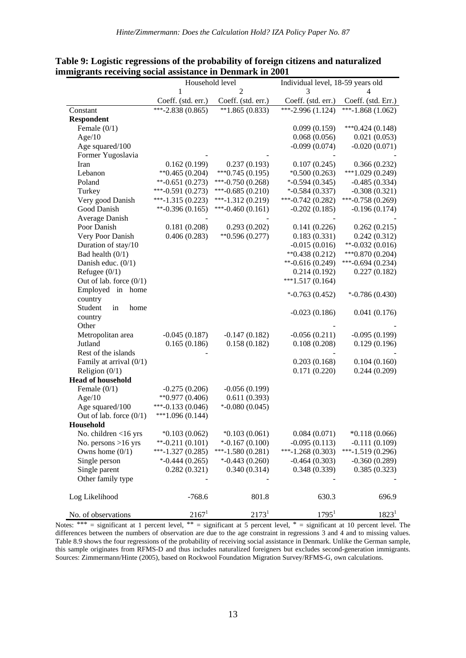|                           | Household level     |                     | Individual level, 18-59 years old |                     |  |
|---------------------------|---------------------|---------------------|-----------------------------------|---------------------|--|
|                           | 1                   | 2                   | 3                                 | 4                   |  |
|                           | Coeff. (std. err.)  | Coeff. (std. err.)  | Coeff. (std. err.)                | Coeff. (std. Err.)  |  |
| Constant                  | ***-2.838 $(0.865)$ | $*1.865(0.833)$     | ***-2.996 $(1.124)$               | ***-1.868 $(1.062)$ |  |
| <b>Respondent</b>         |                     |                     |                                   |                     |  |
| Female $(0/1)$            |                     |                     | 0.099(0.159)                      | $***0.424(0.148)$   |  |
| Age/10                    |                     |                     | 0.068(0.056)                      | 0.021(0.053)        |  |
| Age squared/100           |                     |                     | $-0.099(0.074)$                   | $-0.020(0.071)$     |  |
| Former Yugoslavia         |                     |                     |                                   |                     |  |
| Iran                      | 0.162(0.199)        | 0.237(0.193)        | 0.107(0.245)                      | 0.366(0.232)        |  |
| Lebanon                   | $*$ $0.465(0.204)$  | $***0.745(0.195)$   | $*0.500(0.263)$                   | $***1.029(0.249)$   |  |
| Poland                    | $*$ -0.651 (0.273)  | $***-0.750(0.268)$  | $*$ -0.594 (0.345)                | $-0.485(0.334)$     |  |
| Turkey                    | $***-0.591(0.273)$  | ***-0.685 $(0.210)$ | $*$ -0.584 (0.337)                | $-0.308(0.321)$     |  |
| Very good Danish          | ***-1.315 $(0.223)$ | $***-1.312(0.219)$  | ***-0.742 $(0.282)$               | ***-0.758 $(0.269)$ |  |
| Good Danish               | $*$ -0.396 (0.165)  | $***-0.460(0.161)$  | $-0.202(0.185)$                   | $-0.196(0.174)$     |  |
| Average Danish            |                     |                     |                                   |                     |  |
| Poor Danish               | 0.181(0.208)        | 0.293(0.202)        | 0.141(0.226)                      | 0.262(0.215)        |  |
| Very Poor Danish          | 0.406(0.283)        | $*$ 0.596 (0.277)   | 0.183(0.331)                      | 0.242(0.312)        |  |
| Duration of stay/10       |                     |                     | $-0.015(0.016)$                   | $*$ -0.032 (0.016)  |  |
| Bad health $(0/1)$        |                     |                     | $*$ 0.438 (0.212)                 | $***0.870(0.204)$   |  |
| Danish educ. $(0/1)$      |                     |                     | $*$ -0.616 (0.249)                | $***-0.694(0.234)$  |  |
| Refugee $(0/1)$           |                     |                     | 0.214(0.192)                      | 0.227(0.182)        |  |
| Out of lab. force $(0/1)$ |                     |                     | $***1.517(0.164)$                 |                     |  |
| Employed in home          |                     |                     | $*$ -0.763 (0.452)                | $*$ -0.786 (0.430)  |  |
| country                   |                     |                     |                                   |                     |  |
| Student<br>in<br>home     |                     |                     | $-0.023(0.186)$                   | 0.041(0.176)        |  |
| country                   |                     |                     |                                   |                     |  |
| Other                     |                     |                     |                                   |                     |  |
| Metropolitan area         | $-0.045(0.187)$     | $-0.147(0.182)$     | $-0.056(0.211)$                   | $-0.095(0.199)$     |  |
| Jutland                   | 0.165(0.186)        | 0.158(0.182)        | 0.108(0.208)                      | 0.129(0.196)        |  |
| Rest of the islands       |                     |                     |                                   |                     |  |
| Family at arrival $(0/1)$ |                     |                     | 0.203(0.168)                      | 0.104(0.160)        |  |
| Religion $(0/1)$          |                     |                     | 0.171(0.220)                      | 0.244(0.209)        |  |
| <b>Head of household</b>  |                     |                     |                                   |                     |  |
| Female $(0/1)$            | $-0.275(0.206)$     | $-0.056(0.199)$     |                                   |                     |  |
| Age/10                    | $*$ $0.977(0.406)$  | 0.611(0.393)        |                                   |                     |  |
| Age squared/100           | ***-0.133 $(0.046)$ | $*$ -0.080 (0.045)  |                                   |                     |  |
| Out of lab. force $(0/1)$ | $***1.096(0.144)$   |                     |                                   |                     |  |
| Household                 |                     |                     |                                   |                     |  |
| No. children $<$ 16 yrs   | $*0.103(0.062)$     | $*0.103(0.061)$     | 0.084(0.071)                      | $*0.118(0.066)$     |  |
| No. persons $>16$ yrs     | $*$ -0.211 (0.101)  | $*$ -0.167 (0.100)  | $-0.095(0.113)$                   | $-0.111(0.109)$     |  |
| Owns home $(0/1)$         | ***-1.327 $(0.285)$ | $***-1.580(0.281)$  | ***-1.268 $(0.303)$               | ***-1.519 $(0.296)$ |  |
| Single person             | $*$ -0.444 (0.265)  | $*$ -0.443 (0.260)  | $-0.464(0.303)$                   | $-0.360(0.289)$     |  |
| Single parent             | 0.282(0.321)        | 0.340(0.314)        | 0.348(0.339)                      | 0.385(0.323)        |  |
| Other family type         |                     |                     |                                   |                     |  |
| Log Likelihood            | $-768.6$            | 801.8               | 630.3                             | 696.9               |  |
| No. of observations       | $2167^1$            | 2173 <sup>1</sup>   | $1795^1$                          | 1823 <sup>1</sup>   |  |

**Table 9: Logistic regressions of the probability of foreign citizens and naturalized immigrants receiving social assistance in Denmark in 2001**

Notes: \*\*\* = significant at 1 percent level, \*\* = significant at 5 percent level, \* = significant at 10 percent level. The differences between the numbers of observation are due to the age constraint in regressions 3 and 4 and to missing values. Table 8.9 shows the four regressions of the probability of receiving social assistance in Denmark. Unlike the German sample, this sample originates from RFMS-D and thus includes naturalized foreigners but excludes second-generation immigrants. Sources: Zimmermann/Hinte (2005), based on Rockwool Foundation Migration Survey/RFMS-G, own calculations.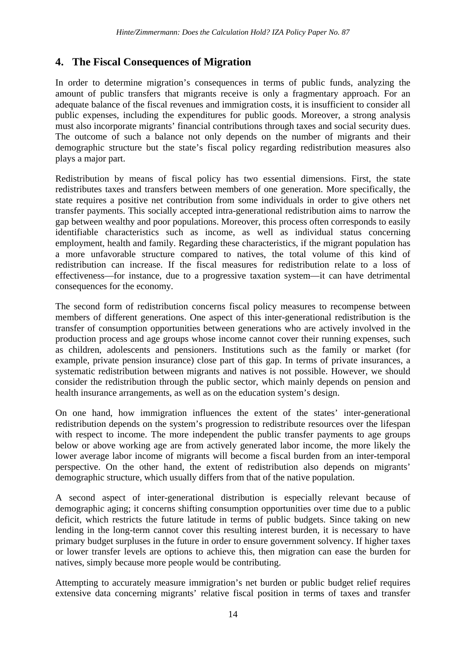## **4. The Fiscal Consequences of Migration**

In order to determine migration's consequences in terms of public funds, analyzing the amount of public transfers that migrants receive is only a fragmentary approach. For an adequate balance of the fiscal revenues and immigration costs, it is insufficient to consider all public expenses, including the expenditures for public goods. Moreover, a strong analysis must also incorporate migrants' financial contributions through taxes and social security dues. The outcome of such a balance not only depends on the number of migrants and their demographic structure but the state's fiscal policy regarding redistribution measures also plays a major part.

Redistribution by means of fiscal policy has two essential dimensions. First, the state redistributes taxes and transfers between members of one generation. More specifically, the state requires a positive net contribution from some individuals in order to give others net transfer payments. This socially accepted intra-generational redistribution aims to narrow the gap between wealthy and poor populations. Moreover, this process often corresponds to easily identifiable characteristics such as income, as well as individual status concerning employment, health and family. Regarding these characteristics, if the migrant population has a more unfavorable structure compared to natives, the total volume of this kind of redistribution can increase. If the fiscal measures for redistribution relate to a loss of effectiveness—for instance, due to a progressive taxation system—it can have detrimental consequences for the economy.

The second form of redistribution concerns fiscal policy measures to recompense between members of different generations. One aspect of this inter-generational redistribution is the transfer of consumption opportunities between generations who are actively involved in the production process and age groups whose income cannot cover their running expenses, such as children, adolescents and pensioners. Institutions such as the family or market (for example, private pension insurance) close part of this gap. In terms of private insurances, a systematic redistribution between migrants and natives is not possible. However, we should consider the redistribution through the public sector, which mainly depends on pension and health insurance arrangements, as well as on the education system's design.

On one hand, how immigration influences the extent of the states' inter-generational redistribution depends on the system's progression to redistribute resources over the lifespan with respect to income. The more independent the public transfer payments to age groups below or above working age are from actively generated labor income, the more likely the lower average labor income of migrants will become a fiscal burden from an inter-temporal perspective. On the other hand, the extent of redistribution also depends on migrants' demographic structure, which usually differs from that of the native population.

A second aspect of inter-generational distribution is especially relevant because of demographic aging; it concerns shifting consumption opportunities over time due to a public deficit, which restricts the future latitude in terms of public budgets. Since taking on new lending in the long-term cannot cover this resulting interest burden, it is necessary to have primary budget surpluses in the future in order to ensure government solvency. If higher taxes or lower transfer levels are options to achieve this, then migration can ease the burden for natives, simply because more people would be contributing.

Attempting to accurately measure immigration's net burden or public budget relief requires extensive data concerning migrants' relative fiscal position in terms of taxes and transfer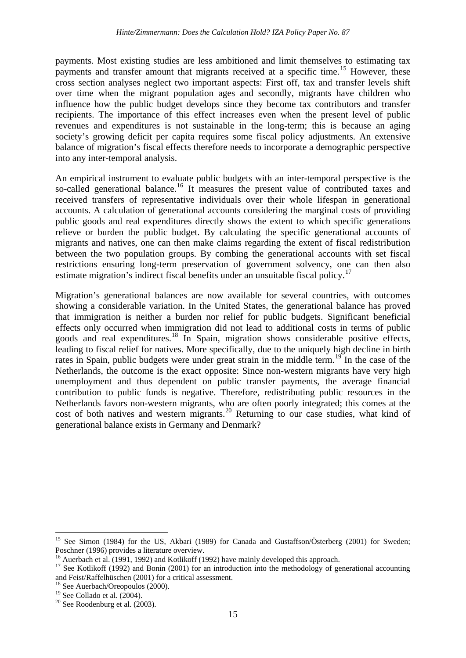payments. Most existing studies are less ambitioned and limit themselves to estimating tax payments and transfer amount that migrants received at a specific time.<sup>[15](#page-13-4)</sup> However, these cross section analyses neglect two important aspects: First off, tax and transfer levels shift over time when the migrant population ages and secondly, migrants have children who influence how the public budget develops since they become tax contributors and transfer recipients. The importance of this effect increases even when the present level of public revenues and expenditures is not sustainable in the long-term; this is because an aging society's growing deficit per capita requires some fiscal policy adjustments. An extensive balance of migration's fiscal effects therefore needs to incorporate a demographic perspective into any inter-temporal analysis.

An empirical instrument to evaluate public budgets with an inter-temporal perspective is the so-called generational balance.<sup>[16](#page-17-0)</sup> It measures the present value of contributed taxes and received transfers of representative individuals over their whole lifespan in generational accounts. A calculation of generational accounts considering the marginal costs of providing public goods and real expenditures directly shows the extent to which specific generations relieve or burden the public budget. By calculating the specific generational accounts of migrants and natives, one can then make claims regarding the extent of fiscal redistribution between the two population groups. By combing the generational accounts with set fiscal restrictions ensuring long-term preservation of government solvency, one can then also estimate migration's indirect fiscal benefits under an unsuitable fiscal policy.<sup>[17](#page-17-1)</sup>

Migration's generational balances are now available for several countries, with outcomes showing a considerable variation. In the United States, the generational balance has proved that immigration is neither a burden nor relief for public budgets. Significant beneficial effects only occurred when immigration did not lead to additional costs in terms of public goods and real expenditures.<sup>[18](#page-17-2)</sup> In Spain, migration shows considerable positive effects, leading to fiscal relief for natives. More specifically, due to the uniquely high decline in birth rates in Spain, public budgets were under great strain in the middle term.<sup>[19](#page-17-3)</sup> In the case of the Netherlands, the outcome is the exact opposite: Since non-western migrants have very high unemployment and thus dependent on public transfer payments, the average financial contribution to public funds is negative. Therefore, redistributing public resources in the Netherlands favors non-western migrants, who are often poorly integrated; this comes at the cost of both natives and western migrants.<sup>[20](#page-17-4)</sup> Returning to our case studies, what kind of generational balance exists in Germany and Denmark?

<span id="page-17-5"></span><sup>&</sup>lt;sup>15</sup> See Simon (1984) for the US, Akbari (1989) for Canada and Gustaffson/Österberg (2001) for Sweden; Poschner (1996) provides a literature overview.<br><sup>16</sup> Auerbach et al. (1991, 1992) and Kotlikoff (1992) have mainly developed this approach.<br><sup>17</sup> See Kotlikoff (1992) and Bonin (2001) for an introduction into the methodolog

<span id="page-17-0"></span>

<span id="page-17-1"></span>and Feist/Raffelhüschen (2001) for a critical assessment.<br><sup>18</sup> See Auerbach/Oreopoulos (2000).<br><sup>19</sup> See Collado et al. (2004).

<span id="page-17-2"></span>

<span id="page-17-4"></span><span id="page-17-3"></span> $120$  See Roodenburg et al. (2003).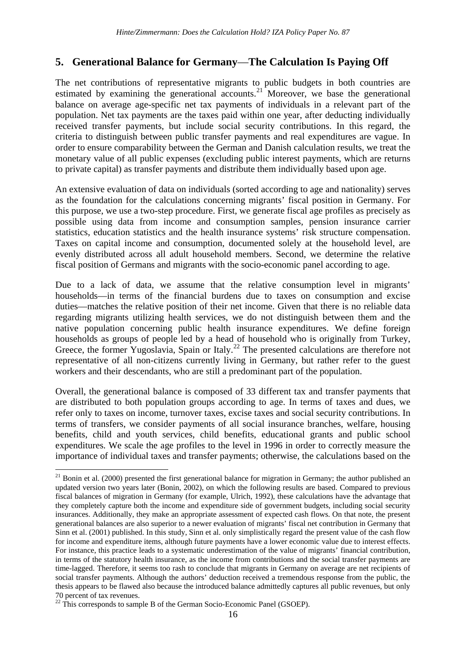# **5. Generational Balance for Germany**—**The Calculation Is Paying Off**

The net contributions of representative migrants to public budgets in both countries are estimated by examining the generational accounts.<sup>[21](#page-17-5)</sup> Moreover, we base the generational balance on average age-specific net tax payments of individuals in a relevant part of the population. Net tax payments are the taxes paid within one year, after deducting individually received transfer payments, but include social security contributions. In this regard, the criteria to distinguish between public transfer payments and real expenditures are vague. In order to ensure comparability between the German and Danish calculation results, we treat the monetary value of all public expenses (excluding public interest payments, which are returns to private capital) as transfer payments and distribute them individually based upon age.

An extensive evaluation of data on individuals (sorted according to age and nationality) serves as the foundation for the calculations concerning migrants' fiscal position in Germany. For this purpose, we use a two-step procedure. First, we generate fiscal age profiles as precisely as possible using data from income and consumption samples, pension insurance carrier statistics, education statistics and the health insurance systems' risk structure compensation. Taxes on capital income and consumption, documented solely at the household level, are evenly distributed across all adult household members. Second, we determine the relative fiscal position of Germans and migrants with the socio-economic panel according to age.

Due to a lack of data, we assume that the relative consumption level in migrants' households—in terms of the financial burdens due to taxes on consumption and excise duties—matches the relative position of their net income. Given that there is no reliable data regarding migrants utilizing health services, we do not distinguish between them and the native population concerning public health insurance expenditures. We define foreign households as groups of people led by a head of household who is originally from Turkey, Greece, the former Yugoslavia, Spain or Italy.<sup>[22](#page-18-0)</sup> The presented calculations are therefore not representative of all non-citizens currently living in Germany, but rather refer to the guest workers and their descendants, who are still a predominant part of the population.

Overall, the generational balance is composed of 33 different tax and transfer payments that are distributed to both population groups according to age. In terms of taxes and dues, we refer only to taxes on income, turnover taxes, excise taxes and social security contributions. In terms of transfers, we consider payments of all social insurance branches, welfare, housing benefits, child and youth services, child benefits, educational grants and public school expenditures. We scale the age profiles to the level in 1996 in order to correctly measure the importance of individual taxes and transfer payments; otherwise, the calculations based on the

 $21$  Bonin et al. (2000) presented the first generational balance for migration in Germany; the author published an updated version two years later (Bonin, 2002), on which the following results are based. Compared to previous fiscal balances of migration in Germany (for example, Ulrich, 1992), these calculations have the advantage that they completely capture both the income and expenditure side of government budgets, including social security insurances. Additionally, they make an appropriate assessment of expected cash flows. On that note, the present generational balances are also superior to a newer evaluation of migrants' fiscal net contribution in Germany that Sinn et al. (2001) published. In this study, Sinn et al. only simplistically regard the present value of the cash flow for income and expenditure items, although future payments have a lower economic value due to interest effects. For instance, this practice leads to a systematic underestimation of the value of migrants' financial contribution, in terms of the statutory health insurance, as the income from contributions and the social transfer payments are time-lagged. Therefore, it seems too rash to conclude that migrants in Germany on average are net recipients of social transfer payments. Although the authors' deduction received a tremendous response from the public, the thesis appears to be flawed also because the introduced balance admittedly captures all public revenues, but only 70 percent of tax revenues.

<span id="page-18-1"></span><span id="page-18-0"></span> $22$  This corresponds to sample B of the German Socio-Economic Panel (GSOEP).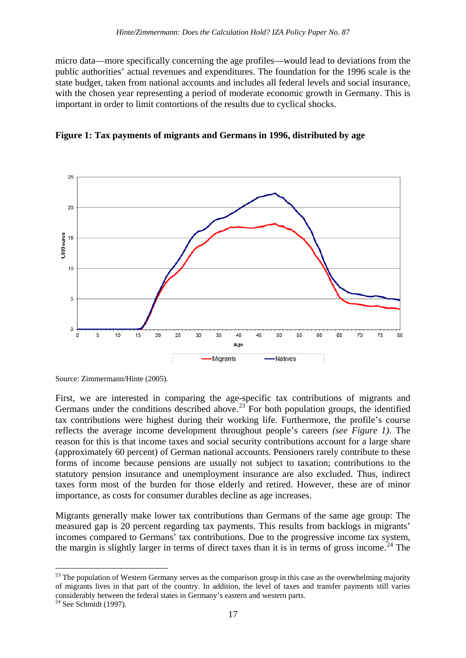micro data—more specifically concerning the age profiles—would lead to deviations from the public authorities' actual revenues and expenditures. The foundation for the 1996 scale is the state budget, taken from national accounts and includes all federal levels and social insurance, with the chosen year representing a period of moderate economic growth in Germany. This is important in order to limit contortions of the results due to cyclical shocks.



**Figure 1: Tax payments of migrants and Germans in 1996, distributed by age**

First, we are interested in comparing the age-specific tax contributions of migrants and Germans under the conditions described above.<sup>[23](#page-18-1)</sup> For both population groups, the identified tax contributions were highest during their working life. Furthermore, the profile's course reflects the average income development throughout people's careers *(see Figure 1)*. The reason for this is that income taxes and social security contributions account for a large share (approximately 60 percent) of German national accounts. Pensioners rarely contribute to these forms of income because pensions are usually not subject to taxation; contributions to the statutory pension insurance and unemployment insurance are also excluded. Thus, indirect taxes form most of the burden for those elderly and retired. However, these are of minor importance, as costs for consumer durables decline as age increases.

Migrants generally make lower tax contributions than Germans of the same age group: The measured gap is 20 percent regarding tax payments. This results from backlogs in migrants' incomes compared to Germans' tax contributions. Due to the progressive income tax system, the margin is slightly larger in terms of direct taxes than it is in terms of gross income.<sup>[24](#page-19-0)</sup> The

Source: Zimmermann/Hinte (2005).

<span id="page-19-1"></span><sup>&</sup>lt;sup>23</sup> The population of Western Germany serves as the comparison group in this case as the overwhelming majority of migrants lives in that part of the country. In addition, the level of taxes and transfer payments still varies considerably between the federal states in Germany's eastern and western parts. <sup>24</sup> See Schmidt (1997).

<span id="page-19-0"></span>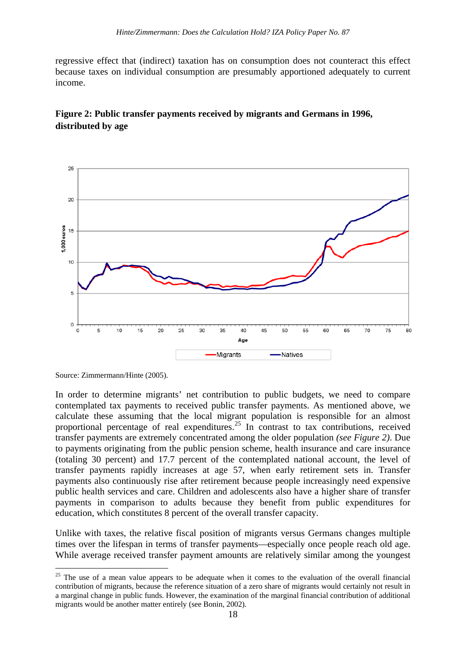regressive effect that (indirect) taxation has on consumption does not counteract this effect because taxes on individual consumption are presumably apportioned adequately to current income.

## **Figure 2: Public transfer payments received by migrants and Germans in 1996, distributed by age**



Source: Zimmermann/Hinte (2005).

In order to determine migrants' net contribution to public budgets, we need to compare contemplated tax payments to received public transfer payments. As mentioned above, we calculate these assuming that the local migrant population is responsible for an almost proportional percentage of real expenditures.<sup>[25](#page-19-1)</sup> In contrast to tax contributions, received transfer payments are extremely concentrated among the older population *(see Figure 2)*. Due to payments originating from the public pension scheme, health insurance and care insurance (totaling 30 percent) and 17.7 percent of the contemplated national account, the level of transfer payments rapidly increases at age 57, when early retirement sets in. Transfer payments also continuously rise after retirement because people increasingly need expensive public health services and care. Children and adolescents also have a higher share of transfer payments in comparison to adults because they benefit from public expenditures for education, which constitutes 8 percent of the overall transfer capacity.

Unlike with taxes, the relative fiscal position of migrants versus Germans changes multiple times over the lifespan in terms of transfer payments—especially once people reach old age. While average received transfer payment amounts are relatively similar among the youngest

<span id="page-20-0"></span> $25$  The use of a mean value appears to be adequate when it comes to the evaluation of the overall financial contribution of migrants, because the reference situation of a zero share of migrants would certainly not result in a marginal change in public funds. However, the examination of the marginal financial contribution of additional migrants would be another matter entirely (see Bonin, 2002).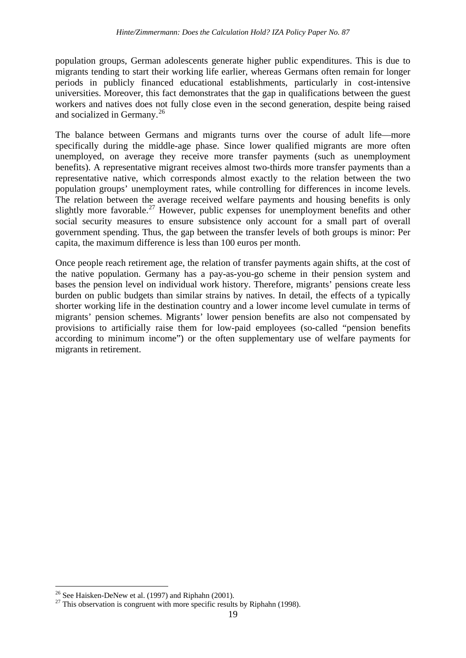population groups, German adolescents generate higher public expenditures. This is due to migrants tending to start their working life earlier, whereas Germans often remain for longer periods in publicly financed educational establishments, particularly in cost-intensive universities. Moreover, this fact demonstrates that the gap in qualifications between the guest workers and natives does not fully close even in the second generation, despite being raised and socialized in Germany.<sup>[26](#page-20-0)</sup>

The balance between Germans and migrants turns over the course of adult life—more specifically during the middle-age phase. Since lower qualified migrants are more often unemployed, on average they receive more transfer payments (such as unemployment benefits). A representative migrant receives almost two-thirds more transfer payments than a representative native, which corresponds almost exactly to the relation between the two population groups' unemployment rates, while controlling for differences in income levels. The relation between the average received welfare payments and housing benefits is only slightly more favorable.<sup>[27](#page-21-0)</sup> However, public expenses for unemployment benefits and other social security measures to ensure subsistence only account for a small part of overall government spending. Thus, the gap between the transfer levels of both groups is minor: Per capita, the maximum difference is less than 100 euros per month.

Once people reach retirement age, the relation of transfer payments again shifts, at the cost of the native population. Germany has a pay-as-you-go scheme in their pension system and bases the pension level on individual work history. Therefore, migrants' pensions create less burden on public budgets than similar strains by natives. In detail, the effects of a typically shorter working life in the destination country and a lower income level cumulate in terms of migrants' pension schemes. Migrants' lower pension benefits are also not compensated by provisions to artificially raise them for low-paid employees (so-called "pension benefits according to minimum income") or the often supplementary use of welfare payments for migrants in retirement.

<span id="page-21-1"></span><span id="page-21-0"></span><sup>&</sup>lt;sup>26</sup> See Haisken-DeNew et al. (1997) and Riphahn (2001).<br><sup>27</sup> This observation is congruent with more specific results by Riphahn (1998).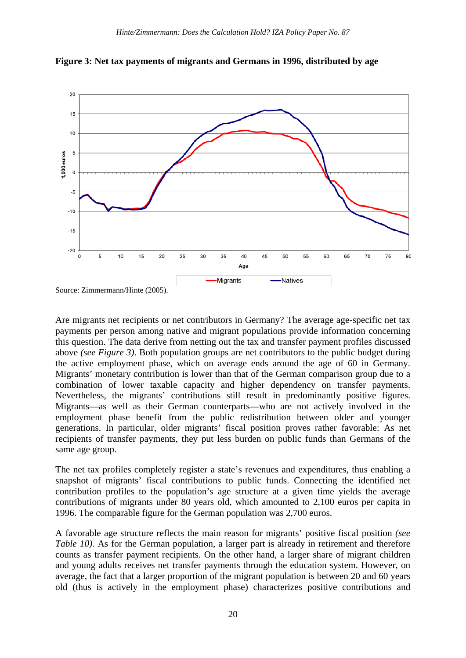

**Figure 3: Net tax payments of migrants and Germans in 1996, distributed by age**

Are migrants net recipients or net contributors in Germany? The average age-specific net tax payments per person among native and migrant populations provide information concerning this question. The data derive from netting out the tax and transfer payment profiles discussed above *(see Figure 3)*. Both population groups are net contributors to the public budget during the active employment phase, which on average ends around the age of 60 in Germany. Migrants' monetary contribution is lower than that of the German comparison group due to a combination of lower taxable capacity and higher dependency on transfer payments. Nevertheless, the migrants' contributions still result in predominantly positive figures. Migrants—as well as their German counterparts—who are not actively involved in the employment phase benefit from the public redistribution between older and younger generations. In particular, older migrants' fiscal position proves rather favorable: As net recipients of transfer payments, they put less burden on public funds than Germans of the same age group.

The net tax profiles completely register a state's revenues and expenditures, thus enabling a snapshot of migrants' fiscal contributions to public funds. Connecting the identified net contribution profiles to the population's age structure at a given time yields the average contributions of migrants under 80 years old, which amounted to 2,100 euros per capita in 1996. The comparable figure for the German population was 2,700 euros.

A favorable age structure reflects the main reason for migrants' positive fiscal position *(see Table 10*). As for the German population, a larger part is already in retirement and therefore counts as transfer payment recipients. On the other hand, a larger share of migrant children and young adults receives net transfer payments through the education system. However, on average, the fact that a larger proportion of the migrant population is between 20 and 60 years old (thus is actively in the employment phase) characterizes positive contributions and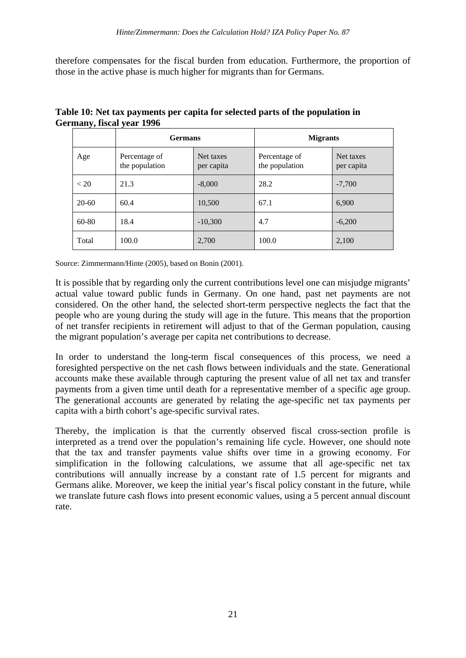therefore compensates for the fiscal burden from education. Furthermore, the proportion of those in the active phase is much higher for migrants than for Germans.

|         | <b>Germans</b>                  |                         | <b>Migrants</b>                 |                         |
|---------|---------------------------------|-------------------------|---------------------------------|-------------------------|
| Age     | Percentage of<br>the population | Net taxes<br>per capita | Percentage of<br>the population | Net taxes<br>per capita |
| < 20    | 21.3                            | $-8,000$                | 28.2                            | $-7,700$                |
| $20-60$ | 60.4                            | 10,500                  | 67.1                            | 6,900                   |
| 60-80   | 18.4                            | $-10,300$               | 4.7                             | $-6,200$                |
| Total   | 100.0                           | 2,700                   | 100.0                           | 2,100                   |

#### **Table 10: Net tax payments per capita for selected parts of the population in Germany, fiscal year 1996**

Source: Zimmermann/Hinte (2005), based on Bonin (2001).

It is possible that by regarding only the current contributions level one can misjudge migrants' actual value toward public funds in Germany. On one hand, past net payments are not considered. On the other hand, the selected short-term perspective neglects the fact that the people who are young during the study will age in the future. This means that the proportion of net transfer recipients in retirement will adjust to that of the German population, causing the migrant population's average per capita net contributions to decrease.

In order to understand the long-term fiscal consequences of this process, we need a foresighted perspective on the net cash flows between individuals and the state. Generational accounts make these available through capturing the present value of all net tax and transfer payments from a given time until death for a representative member of a specific age group. The generational accounts are generated by relating the age-specific net tax payments per capita with a birth cohort's age-specific survival rates.

Thereby, the implication is that the currently observed fiscal cross-section profile is interpreted as a trend over the population's remaining life cycle. However, one should note that the tax and transfer payments value shifts over time in a growing economy. For simplification in the following calculations, we assume that all age-specific net tax contributions will annually increase by a constant rate of 1.5 percent for migrants and Germans alike. Moreover, we keep the initial year's fiscal policy constant in the future, while we translate future cash flows into present economic values, using a 5 percent annual discount rate.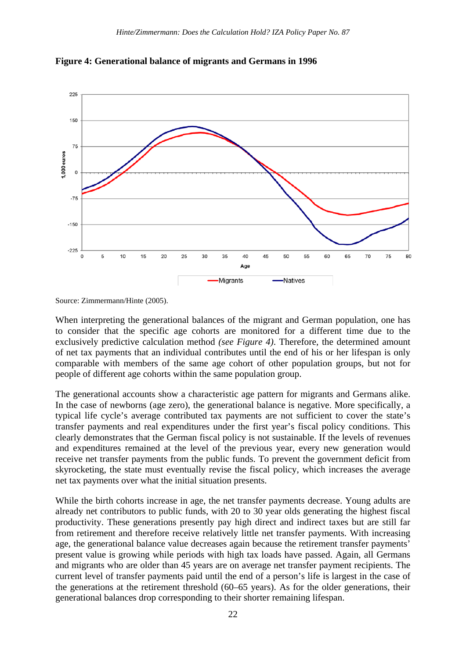

**Figure 4: Generational balance of migrants and Germans in 1996**

When interpreting the generational balances of the migrant and German population, one has to consider that the specific age cohorts are monitored for a different time due to the exclusively predictive calculation method *(see Figure 4)*. Therefore, the determined amount of net tax payments that an individual contributes until the end of his or her lifespan is only comparable with members of the same age cohort of other population groups, but not for people of different age cohorts within the same population group.

The generational accounts show a characteristic age pattern for migrants and Germans alike. In the case of newborns (age zero), the generational balance is negative. More specifically, a typical life cycle's average contributed tax payments are not sufficient to cover the state's transfer payments and real expenditures under the first year's fiscal policy conditions. This clearly demonstrates that the German fiscal policy is not sustainable. If the levels of revenues and expenditures remained at the level of the previous year, every new generation would receive net transfer payments from the public funds. To prevent the government deficit from skyrocketing, the state must eventually revise the fiscal policy, which increases the average net tax payments over what the initial situation presents.

While the birth cohorts increase in age, the net transfer payments decrease. Young adults are already net contributors to public funds, with 20 to 30 year olds generating the highest fiscal productivity. These generations presently pay high direct and indirect taxes but are still far from retirement and therefore receive relatively little net transfer payments. With increasing age, the generational balance value decreases again because the retirement transfer payments' present value is growing while periods with high tax loads have passed. Again, all Germans and migrants who are older than 45 years are on average net transfer payment recipients. The current level of transfer payments paid until the end of a person's life is largest in the case of the generations at the retirement threshold (60–65 years). As for the older generations, their generational balances drop corresponding to their shorter remaining lifespan.

Source: Zimmermann/Hinte (2005).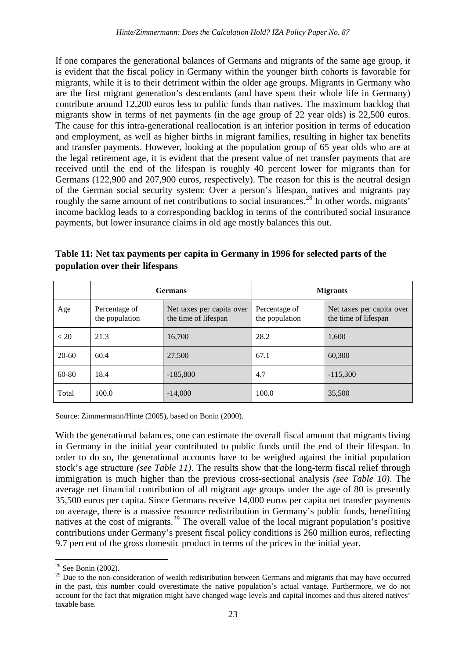If one compares the generational balances of Germans and migrants of the same age group, it is evident that the fiscal policy in Germany within the younger birth cohorts is favorable for migrants, while it is to their detriment within the older age groups. Migrants in Germany who are the first migrant generation's descendants (and have spent their whole life in Germany) contribute around 12,200 euros less to public funds than natives. The maximum backlog that migrants show in terms of net payments (in the age group of 22 year olds) is 22,500 euros. The cause for this intra-generational reallocation is an inferior position in terms of education and employment, as well as higher births in migrant families, resulting in higher tax benefits and transfer payments. However, looking at the population group of 65 year olds who are at the legal retirement age, it is evident that the present value of net transfer payments that are received until the end of the lifespan is roughly 40 percent lower for migrants than for Germans (122,900 and 207,900 euros, respectively). The reason for this is the neutral design of the German social security system: Over a person's lifespan, natives and migrants pay roughly the same amount of net contributions to social insurances.<sup>[28](#page-21-1)</sup> In other words, migrants' income backlog leads to a corresponding backlog in terms of the contributed social insurance payments, but lower insurance claims in old age mostly balances this out.

|           | <b>Germans</b>                  |                                                   | <b>Migrants</b>                 |                                                   |  |
|-----------|---------------------------------|---------------------------------------------------|---------------------------------|---------------------------------------------------|--|
| Age       | Percentage of<br>the population | Net taxes per capita over<br>the time of lifespan | Percentage of<br>the population | Net taxes per capita over<br>the time of lifespan |  |
| < 20      | 21.3                            | 16,700                                            | 28.2                            | 1,600                                             |  |
| $20 - 60$ | 60.4                            | 27,500                                            | 67.1                            | 60,300                                            |  |
| $60 - 80$ | 18.4                            | $-185,800$                                        | 4.7                             | $-115,300$                                        |  |
| Total     | 100.0                           | $-14,000$                                         | 100.0                           | 35,500                                            |  |

**Table 11: Net tax payments per capita in Germany in 1996 for selected parts of the population over their lifespans**

Source: Zimmermann/Hinte (2005), based on Bonin (2000).

With the generational balances, one can estimate the overall fiscal amount that migrants living in Germany in the initial year contributed to public funds until the end of their lifespan. In order to do so, the generational accounts have to be weighed against the initial population stock's age structure *(see Table 11)*. The results show that the long-term fiscal relief through immigration is much higher than the previous cross-sectional analysis *(see Table 10)*. The average net financial contribution of all migrant age groups under the age of 80 is presently 35,500 euros per capita. Since Germans receive 14,000 euros per capita net transfer payments on average, there is a massive resource redistribution in Germany's public funds, benefitting natives at the cost of migrants.<sup>[29](#page-25-0)</sup> The overall value of the local migrant population's positive contributions under Germany's present fiscal policy conditions is 260 million euros, reflecting 9.7 percent of the gross domestic product in terms of the prices in the initial year.

<sup>&</sup>lt;sup>28</sup> See Bonin (2002).

<span id="page-25-1"></span><span id="page-25-0"></span><sup>&</sup>lt;sup>29</sup> Due to the non-consideration of wealth redistribution between Germans and migrants that may have occurred in the past, this number could overestimate the native population's actual vantage. Furthermore, we do not account for the fact that migration might have changed wage levels and capital incomes and thus altered natives' taxable base.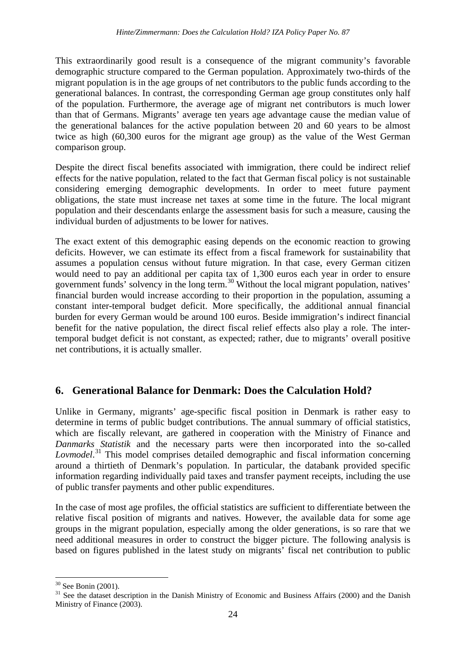This extraordinarily good result is a consequence of the migrant community's favorable demographic structure compared to the German population. Approximately two-thirds of the migrant population is in the age groups of net contributors to the public funds according to the generational balances. In contrast, the corresponding German age group constitutes only half of the population. Furthermore, the average age of migrant net contributors is much lower than that of Germans. Migrants' average ten years age advantage cause the median value of the generational balances for the active population between 20 and 60 years to be almost twice as high (60,300 euros for the migrant age group) as the value of the West German comparison group.

Despite the direct fiscal benefits associated with immigration, there could be indirect relief effects for the native population, related to the fact that German fiscal policy is not sustainable considering emerging demographic developments. In order to meet future payment obligations, the state must increase net taxes at some time in the future. The local migrant population and their descendants enlarge the assessment basis for such a measure, causing the individual burden of adjustments to be lower for natives.

The exact extent of this demographic easing depends on the economic reaction to growing deficits. However, we can estimate its effect from a fiscal framework for sustainability that assumes a population census without future migration. In that case, every German citizen would need to pay an additional per capita tax of 1,300 euros each year in order to ensure government funds' solvency in the long term.<sup>[30](#page-25-1)</sup> Without the local migrant population, natives' financial burden would increase according to their proportion in the population, assuming a constant inter-temporal budget deficit. More specifically, the additional annual financial burden for every German would be around 100 euros. Beside immigration's indirect financial benefit for the native population, the direct fiscal relief effects also play a role. The intertemporal budget deficit is not constant, as expected; rather, due to migrants' overall positive net contributions, it is actually smaller.

## **6. Generational Balance for Denmark: Does the Calculation Hold?**

Unlike in Germany, migrants' age-specific fiscal position in Denmark is rather easy to determine in terms of public budget contributions. The annual summary of official statistics, which are fiscally relevant, are gathered in cooperation with the Ministry of Finance and *Danmarks Statistik* and the necessary parts were then incorporated into the so-called *Lovmodel*. [31](#page-26-0) This model comprises detailed demographic and fiscal information concerning around a thirtieth of Denmark's population. In particular, the databank provided specific information regarding individually paid taxes and transfer payment receipts, including the use of public transfer payments and other public expenditures.

<span id="page-26-1"></span>In the case of most age profiles, the official statistics are sufficient to differentiate between the relative fiscal position of migrants and natives. However, the available data for some age groups in the migrant population, especially among the older generations, is so rare that we need additional measures in order to construct the bigger picture. The following analysis is based on figures published in the latest study on migrants' fiscal net contribution to public

<span id="page-26-0"></span> $30$  See Bonin (2001).<br><sup>31</sup> See the dataset description in the Danish Ministry of Economic and Business Affairs (2000) and the Danish Ministry of Finance (2003).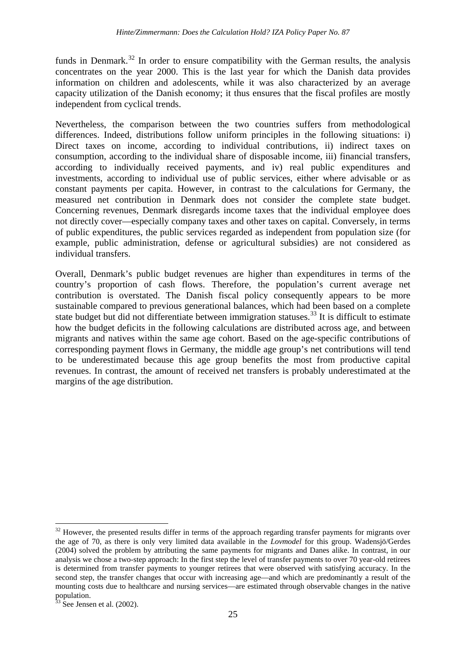funds in Denmark.<sup>[32](#page-26-1)</sup> In order to ensure compatibility with the German results, the analysis concentrates on the year 2000. This is the last year for which the Danish data provides information on children and adolescents, while it was also characterized by an average capacity utilization of the Danish economy; it thus ensures that the fiscal profiles are mostly independent from cyclical trends.

Nevertheless, the comparison between the two countries suffers from methodological differences. Indeed, distributions follow uniform principles in the following situations: i) Direct taxes on income, according to individual contributions, ii) indirect taxes on consumption, according to the individual share of disposable income, iii) financial transfers, according to individually received payments, and iv) real public expenditures and investments, according to individual use of public services, either where advisable or as constant payments per capita. However, in contrast to the calculations for Germany, the measured net contribution in Denmark does not consider the complete state budget. Concerning revenues, Denmark disregards income taxes that the individual employee does not directly cover—especially company taxes and other taxes on capital. Conversely, in terms of public expenditures, the public services regarded as independent from population size (for example, public administration, defense or agricultural subsidies) are not considered as individual transfers.

Overall, Denmark's public budget revenues are higher than expenditures in terms of the country's proportion of cash flows. Therefore, the population's current average net contribution is overstated. The Danish fiscal policy consequently appears to be more sustainable compared to previous generational balances, which had been based on a complete state budget but did not differentiate between immigration statuses.<sup>[33](#page-27-0)</sup> It is difficult to estimate how the budget deficits in the following calculations are distributed across age, and between migrants and natives within the same age cohort. Based on the age-specific contributions of corresponding payment flows in Germany, the middle age group's net contributions will tend to be underestimated because this age group benefits the most from productive capital revenues. In contrast, the amount of received net transfers is probably underestimated at the margins of the age distribution.

<span id="page-27-1"></span><sup>&</sup>lt;sup>32</sup> However, the presented results differ in terms of the approach regarding transfer payments for migrants over the age of 70, as there is only very limited data available in the *Lovmodel* for this group. Wadensjö/Gerdes (2004) solved the problem by attributing the same payments for migrants and Danes alike. In contrast, in our analysis we chose a two-step approach: In the first step the level of transfer payments to over 70 year-old retirees is determined from transfer payments to younger retirees that were observed with satisfying accuracy. In the second step, the transfer changes that occur with increasing age—and which are predominantly a result of the mounting costs due to healthcare and nursing services—are estimated through observable changes in the native population.

<span id="page-27-0"></span> $33$  See Jensen et al. (2002).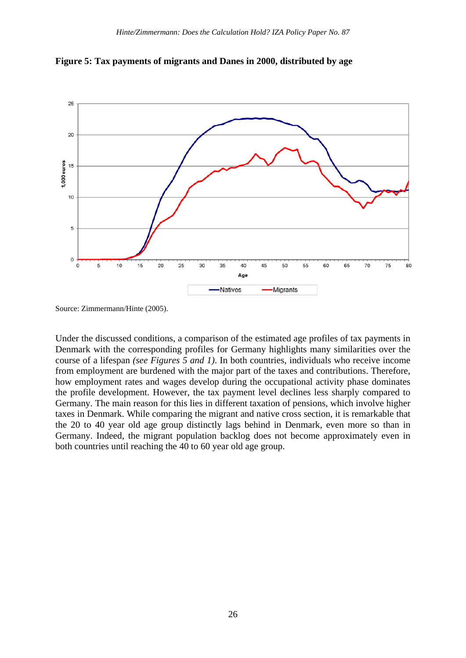

**Figure 5: Tax payments of migrants and Danes in 2000, distributed by age**

Under the discussed conditions, a comparison of the estimated age profiles of tax payments in Denmark with the corresponding profiles for Germany highlights many similarities over the course of a lifespan *(see Figures 5 and 1)*. In both countries, individuals who receive income from employment are burdened with the major part of the taxes and contributions. Therefore, how employment rates and wages develop during the occupational activity phase dominates the profile development. However, the tax payment level declines less sharply compared to Germany. The main reason for this lies in different taxation of pensions, which involve higher taxes in Denmark. While comparing the migrant and native cross section, it is remarkable that the 20 to 40 year old age group distinctly lags behind in Denmark, even more so than in Germany. Indeed, the migrant population backlog does not become approximately even in both countries until reaching the 40 to 60 year old age group.

Source: Zimmermann/Hinte (2005).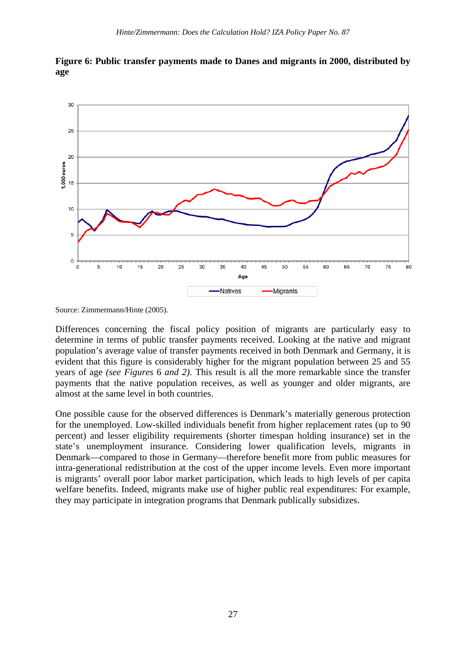

**Figure 6: Public transfer payments made to Danes and migrants in 2000, distributed by age**

Differences concerning the fiscal policy position of migrants are particularly easy to determine in terms of public transfer payments received. Looking at the native and migrant population's average value of transfer payments received in both Denmark and Germany, it is evident that this figure is considerably higher for the migrant population between 25 and 55 years of age *(see Figures* 6 *and 2)*. This result is all the more remarkable since the transfer payments that the native population receives, as well as younger and older migrants, are almost at the same level in both countries.

One possible cause for the observed differences is Denmark's materially generous protection for the unemployed. Low-skilled individuals benefit from higher replacement rates (up to 90 percent) and lesser eligibility requirements (shorter timespan holding insurance) set in the state's unemployment insurance. Considering lower qualification levels, migrants in Denmark—compared to those in Germany—therefore benefit more from public measures for intra-generational redistribution at the cost of the upper income levels. Even more important is migrants' overall poor labor market participation, which leads to high levels of per capita welfare benefits. Indeed, migrants make use of higher public real expenditures: For example, they may participate in integration programs that Denmark publically subsidizes.

Source: Zimmermann/Hinte (2005).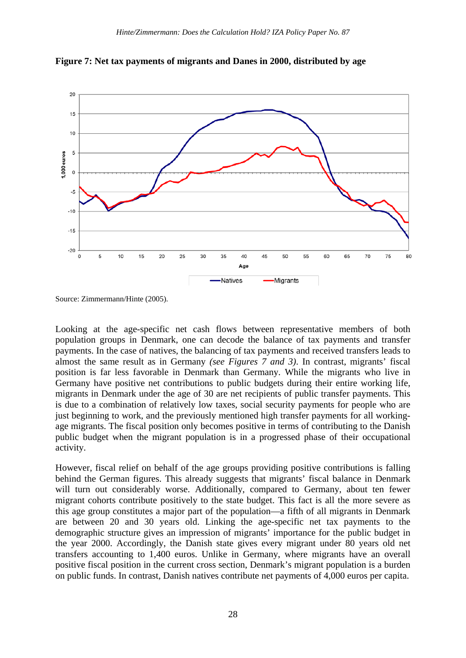

**Figure 7: Net tax payments of migrants and Danes in 2000, distributed by age**

Source: Zimmermann/Hinte (2005).

Looking at the age-specific net cash flows between representative members of both population groups in Denmark, one can decode the balance of tax payments and transfer payments. In the case of natives, the balancing of tax payments and received transfers leads to almost the same result as in Germany *(see Figures 7 and 3)*. In contrast, migrants' fiscal position is far less favorable in Denmark than Germany. While the migrants who live in Germany have positive net contributions to public budgets during their entire working life, migrants in Denmark under the age of 30 are net recipients of public transfer payments. This is due to a combination of relatively low taxes, social security payments for people who are just beginning to work, and the previously mentioned high transfer payments for all workingage migrants. The fiscal position only becomes positive in terms of contributing to the Danish public budget when the migrant population is in a progressed phase of their occupational activity.

However, fiscal relief on behalf of the age groups providing positive contributions is falling behind the German figures. This already suggests that migrants' fiscal balance in Denmark will turn out considerably worse. Additionally, compared to Germany, about ten fewer migrant cohorts contribute positively to the state budget. This fact is all the more severe as this age group constitutes a major part of the population—a fifth of all migrants in Denmark are between 20 and 30 years old. Linking the age-specific net tax payments to the demographic structure gives an impression of migrants' importance for the public budget in the year 2000. Accordingly, the Danish state gives every migrant under 80 years old net transfers accounting to 1,400 euros. Unlike in Germany, where migrants have an overall positive fiscal position in the current cross section, Denmark's migrant population is a burden on public funds. In contrast, Danish natives contribute net payments of 4,000 euros per capita.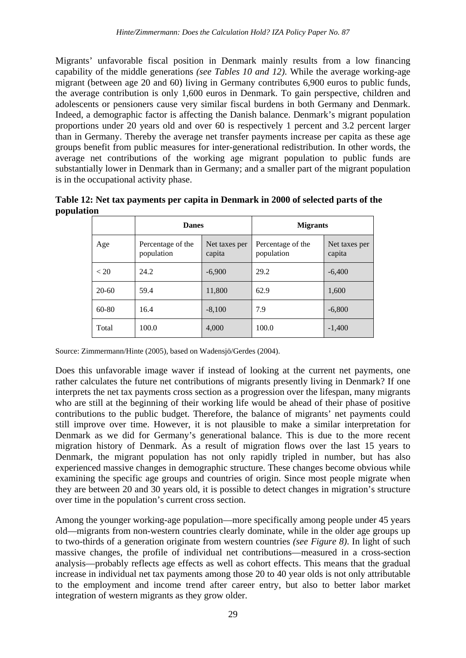Migrants' unfavorable fiscal position in Denmark mainly results from a low financing capability of the middle generations *(see Tables 10 and 12)*. While the average working-age migrant (between age 20 and 60) living in Germany contributes 6,900 euros to public funds, the average contribution is only 1,600 euros in Denmark. To gain perspective, children and adolescents or pensioners cause very similar fiscal burdens in both Germany and Denmark. Indeed, a demographic factor is affecting the Danish balance. Denmark's migrant population proportions under 20 years old and over 60 is respectively 1 percent and 3.2 percent larger than in Germany. Thereby the average net transfer payments increase per capita as these age groups benefit from public measures for inter-generational redistribution. In other words, the average net contributions of the working age migrant population to public funds are substantially lower in Denmark than in Germany; and a smaller part of the migrant population is in the occupational activity phase.

**Table 12: Net tax payments per capita in Denmark in 2000 of selected parts of the population**

|           | <b>Danes</b>                    |                         | <b>Migrants</b>                 |                         |
|-----------|---------------------------------|-------------------------|---------------------------------|-------------------------|
| Age       | Percentage of the<br>population | Net taxes per<br>capita | Percentage of the<br>population | Net taxes per<br>capita |
| < 20      | 24.2                            | $-6,900$                | 29.2                            | $-6,400$                |
| $20-60$   | 59.4                            | 11,800                  | 62.9                            | 1,600                   |
| $60 - 80$ | 16.4                            | $-8,100$                | 7.9                             | $-6,800$                |
| Total     | 100.0                           | 4,000                   | 100.0                           | $-1,400$                |

Source: Zimmermann/Hinte (2005), based on Wadensjö/Gerdes (2004).

Does this unfavorable image waver if instead of looking at the current net payments, one rather calculates the future net contributions of migrants presently living in Denmark? If one interprets the net tax payments cross section as a progression over the lifespan, many migrants who are still at the beginning of their working life would be ahead of their phase of positive contributions to the public budget. Therefore, the balance of migrants' net payments could still improve over time. However, it is not plausible to make a similar interpretation for Denmark as we did for Germany's generational balance. This is due to the more recent migration history of Denmark. As a result of migration flows over the last 15 years to Denmark, the migrant population has not only rapidly tripled in number, but has also experienced massive changes in demographic structure. These changes become obvious while examining the specific age groups and countries of origin. Since most people migrate when they are between 20 and 30 years old, it is possible to detect changes in migration's structure over time in the population's current cross section.

Among the younger working-age population—more specifically among people under 45 years old—migrants from non-western countries clearly dominate, while in the older age groups up to two-thirds of a generation originate from western countries *(see Figure 8)*. In light of such massive changes, the profile of individual net contributions—measured in a cross-section analysis—probably reflects age effects as well as cohort effects. This means that the gradual increase in individual net tax payments among those 20 to 40 year olds is not only attributable to the employment and income trend after career entry, but also to better labor market integration of western migrants as they grow older.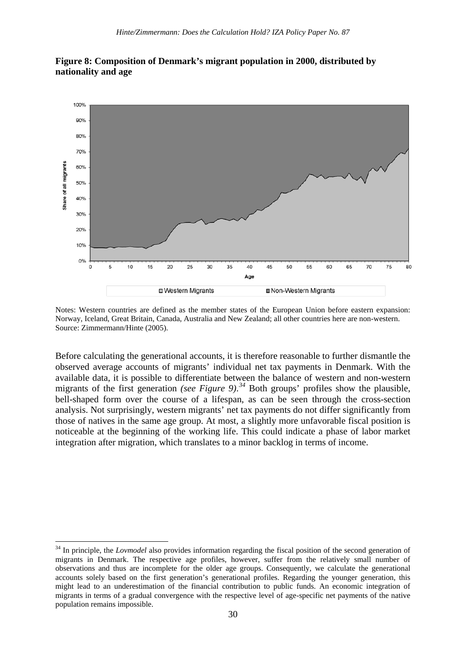

#### **Figure 8: Composition of Denmark's migrant population in 2000, distributed by nationality and age**

Notes: Western countries are defined as the member states of the European Union before eastern expansion: Norway, Iceland, Great Britain, Canada, Australia and New Zealand; all other countries here are non-western. Source: Zimmermann/Hinte (2005).

Before calculating the generational accounts, it is therefore reasonable to further dismantle the observed average accounts of migrants' individual net tax payments in Denmark. With the available data, it is possible to differentiate between the balance of western and non-western migrants of the first generation *(see Figure 9)*. *[34](#page-27-1)* Both groups' profiles show the plausible, bell-shaped form over the course of a lifespan, as can be seen through the cross-section analysis. Not surprisingly, western migrants' net tax payments do not differ significantly from those of natives in the same age group. At most, a slightly more unfavorable fiscal position is noticeable at the beginning of the working life. This could indicate a phase of labor market integration after migration, which translates to a minor backlog in terms of income.

<span id="page-32-0"></span><sup>&</sup>lt;sup>34</sup> In principle, the *Lovmodel* also provides information regarding the fiscal position of the second generation of migrants in Denmark. The respective age profiles, however, suffer from the relatively small number of observations and thus are incomplete for the older age groups. Consequently, we calculate the generational accounts solely based on the first generation's generational profiles. Regarding the younger generation, this might lead to an underestimation of the financial contribution to public funds. An economic integration of migrants in terms of a gradual convergence with the respective level of age-specific net payments of the native population remains impossible.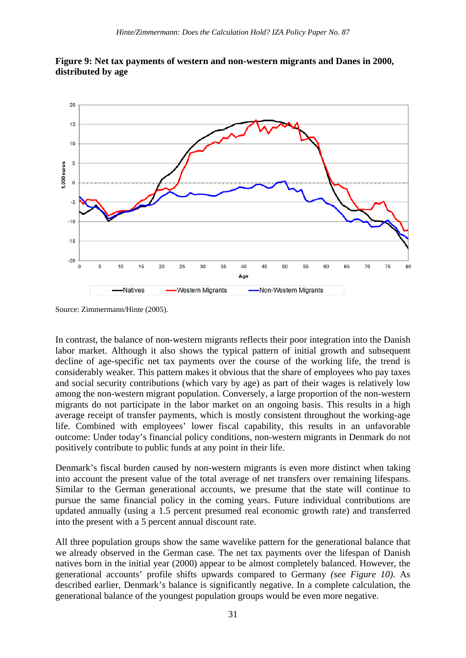



Source: Zimmermann/Hinte (2005).

In contrast, the balance of non-western migrants reflects their poor integration into the Danish labor market. Although it also shows the typical pattern of initial growth and subsequent decline of age-specific net tax payments over the course of the working life, the trend is considerably weaker. This pattern makes it obvious that the share of employees who pay taxes and social security contributions (which vary by age) as part of their wages is relatively low among the non-western migrant population. Conversely, a large proportion of the non-western migrants do not participate in the labor market on an ongoing basis. This results in a high average receipt of transfer payments, which is mostly consistent throughout the working-age life. Combined with employees' lower fiscal capability, this results in an unfavorable outcome: Under today's financial policy conditions, non-western migrants in Denmark do not positively contribute to public funds at any point in their life.

Denmark's fiscal burden caused by non-western migrants is even more distinct when taking into account the present value of the total average of net transfers over remaining lifespans. Similar to the German generational accounts, we presume that the state will continue to pursue the same financial policy in the coming years. Future individual contributions are updated annually (using a 1.5 percent presumed real economic growth rate) and transferred into the present with a 5 percent annual discount rate.

All three population groups show the same wavelike pattern for the generational balance that we already observed in the German case. The net tax payments over the lifespan of Danish natives born in the initial year (2000) appear to be almost completely balanced. However, the generational accounts' profile shifts upwards compared to Germany *(see Figure 10)*. As described earlier, Denmark's balance is significantly negative. In a complete calculation, the generational balance of the youngest population groups would be even more negative.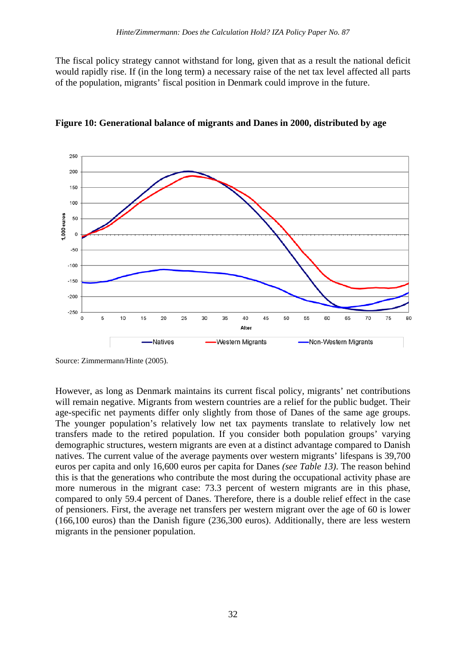The fiscal policy strategy cannot withstand for long, given that as a result the national deficit would rapidly rise. If (in the long term) a necessary raise of the net tax level affected all parts of the population, migrants' fiscal position in Denmark could improve in the future.



**Figure 10: Generational balance of migrants and Danes in 2000, distributed by age**

Source: Zimmermann/Hinte (2005).

However, as long as Denmark maintains its current fiscal policy, migrants' net contributions will remain negative. Migrants from western countries are a relief for the public budget. Their age-specific net payments differ only slightly from those of Danes of the same age groups. The younger population's relatively low net tax payments translate to relatively low net transfers made to the retired population. If you consider both population groups' varying demographic structures, western migrants are even at a distinct advantage compared to Danish natives. The current value of the average payments over western migrants' lifespans is 39,700 euros per capita and only 16,600 euros per capita for Danes *(see Table 13)*. The reason behind this is that the generations who contribute the most during the occupational activity phase are more numerous in the migrant case: 73.3 percent of western migrants are in this phase, compared to only 59.4 percent of Danes. Therefore, there is a double relief effect in the case of pensioners. First, the average net transfers per western migrant over the age of 60 is lower (166,100 euros) than the Danish figure (236,300 euros). Additionally, there are less western migrants in the pensioner population.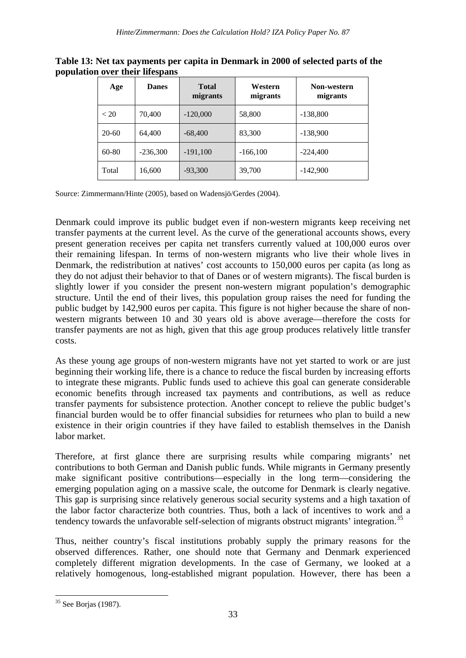| Age   | <b>Danes</b> | <b>Total</b><br>migrants | Western<br>migrants | Non-western<br>migrants |
|-------|--------------|--------------------------|---------------------|-------------------------|
| < 20  | 70,400       | $-120,000$               | 58,800              | $-138,800$              |
| 20-60 | 64,400       | $-68,400$                | 83,300              | $-138,900$              |
| 60-80 | $-236,300$   | $-191,100$               | $-166,100$          | $-224,400$              |
| Total | 16,600       | $-93,300$                | 39,700              | $-142,900$              |

**Table 13: Net tax payments per capita in Denmark in 2000 of selected parts of the population over their lifespans**

Source: Zimmermann/Hinte (2005), based on Wadensjö/Gerdes (2004).

Denmark could improve its public budget even if non-western migrants keep receiving net transfer payments at the current level. As the curve of the generational accounts shows, every present generation receives per capita net transfers currently valued at 100,000 euros over their remaining lifespan. In terms of non-western migrants who live their whole lives in Denmark, the redistribution at natives' cost accounts to 150,000 euros per capita (as long as they do not adjust their behavior to that of Danes or of western migrants). The fiscal burden is slightly lower if you consider the present non-western migrant population's demographic structure. Until the end of their lives, this population group raises the need for funding the public budget by 142,900 euros per capita. This figure is not higher because the share of nonwestern migrants between 10 and 30 years old is above average—therefore the costs for transfer payments are not as high, given that this age group produces relatively little transfer costs.

As these young age groups of non-western migrants have not yet started to work or are just beginning their working life, there is a chance to reduce the fiscal burden by increasing efforts to integrate these migrants. Public funds used to achieve this goal can generate considerable economic benefits through increased tax payments and contributions, as well as reduce transfer payments for subsistence protection. Another concept to relieve the public budget's financial burden would be to offer financial subsidies for returnees who plan to build a new existence in their origin countries if they have failed to establish themselves in the Danish labor market.

Therefore, at first glance there are surprising results while comparing migrants' net contributions to both German and Danish public funds. While migrants in Germany presently make significant positive contributions—especially in the long term—considering the emerging population aging on a massive scale, the outcome for Denmark is clearly negative. This gap is surprising since relatively generous social security systems and a high taxation of the labor factor characterize both countries. Thus, both a lack of incentives to work and a tendency towards the unfavorable self-selection of migrants obstruct migrants' integration.<sup>[35](#page-32-0)</sup>

Thus, neither country's fiscal institutions probably supply the primary reasons for the observed differences. Rather, one should note that Germany and Denmark experienced completely different migration developments. In the case of Germany, we looked at a relatively homogenous, long-established migrant population. However, there has been a

 <sup>35</sup> See Borjas (1987).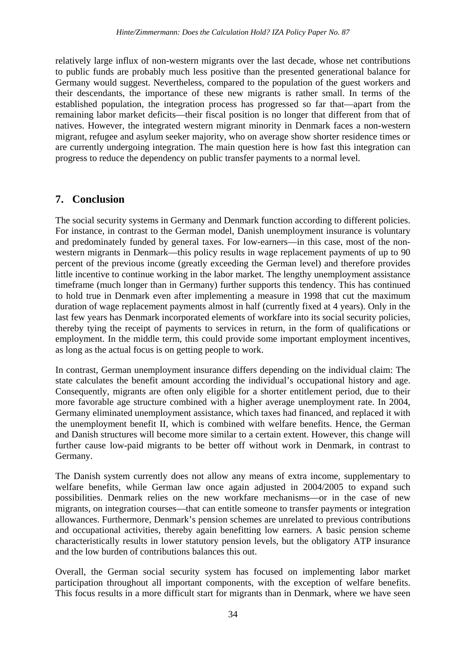relatively large influx of non-western migrants over the last decade, whose net contributions to public funds are probably much less positive than the presented generational balance for Germany would suggest. Nevertheless, compared to the population of the guest workers and their descendants, the importance of these new migrants is rather small. In terms of the established population, the integration process has progressed so far that—apart from the remaining labor market deficits—their fiscal position is no longer that different from that of natives. However, the integrated western migrant minority in Denmark faces a non-western migrant, refugee and asylum seeker majority, who on average show shorter residence times or are currently undergoing integration. The main question here is how fast this integration can progress to reduce the dependency on public transfer payments to a normal level.

## **7. Conclusion**

The social security systems in Germany and Denmark function according to different policies. For instance, in contrast to the German model, Danish unemployment insurance is voluntary and predominately funded by general taxes. For low-earners—in this case, most of the nonwestern migrants in Denmark—this policy results in wage replacement payments of up to 90 percent of the previous income (greatly exceeding the German level) and therefore provides little incentive to continue working in the labor market. The lengthy unemployment assistance timeframe (much longer than in Germany) further supports this tendency. This has continued to hold true in Denmark even after implementing a measure in 1998 that cut the maximum duration of wage replacement payments almost in half (currently fixed at 4 years). Only in the last few years has Denmark incorporated elements of workfare into its social security policies, thereby tying the receipt of payments to services in return, in the form of qualifications or employment. In the middle term, this could provide some important employment incentives, as long as the actual focus is on getting people to work.

In contrast, German unemployment insurance differs depending on the individual claim: The state calculates the benefit amount according the individual's occupational history and age. Consequently, migrants are often only eligible for a shorter entitlement period, due to their more favorable age structure combined with a higher average unemployment rate. In 2004, Germany eliminated unemployment assistance, which taxes had financed, and replaced it with the unemployment benefit II, which is combined with welfare benefits. Hence, the German and Danish structures will become more similar to a certain extent. However, this change will further cause low-paid migrants to be better off without work in Denmark, in contrast to Germany.

The Danish system currently does not allow any means of extra income, supplementary to welfare benefits, while German law once again adjusted in 2004/2005 to expand such possibilities. Denmark relies on the new workfare mechanisms—or in the case of new migrants, on integration courses—that can entitle someone to transfer payments or integration allowances. Furthermore, Denmark's pension schemes are unrelated to previous contributions and occupational activities, thereby again benefitting low earners. A basic pension scheme characteristically results in lower statutory pension levels, but the obligatory ATP insurance and the low burden of contributions balances this out.

Overall, the German social security system has focused on implementing labor market participation throughout all important components, with the exception of welfare benefits. This focus results in a more difficult start for migrants than in Denmark, where we have seen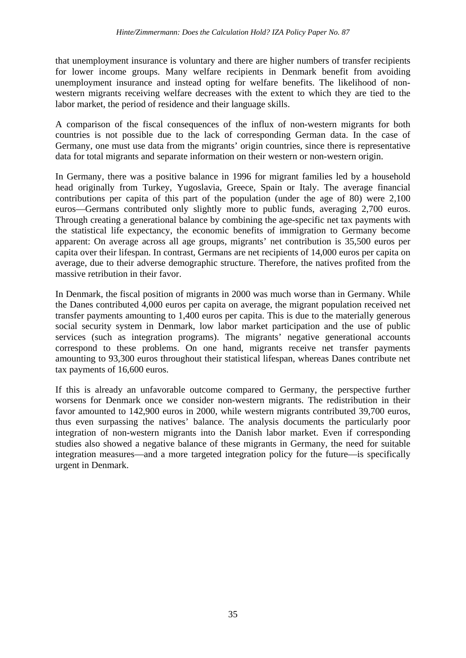that unemployment insurance is voluntary and there are higher numbers of transfer recipients for lower income groups. Many welfare recipients in Denmark benefit from avoiding unemployment insurance and instead opting for welfare benefits. The likelihood of nonwestern migrants receiving welfare decreases with the extent to which they are tied to the labor market, the period of residence and their language skills.

A comparison of the fiscal consequences of the influx of non-western migrants for both countries is not possible due to the lack of corresponding German data. In the case of Germany, one must use data from the migrants' origin countries, since there is representative data for total migrants and separate information on their western or non-western origin.

In Germany, there was a positive balance in 1996 for migrant families led by a household head originally from Turkey, Yugoslavia, Greece, Spain or Italy. The average financial contributions per capita of this part of the population (under the age of 80) were 2,100 euros—Germans contributed only slightly more to public funds, averaging 2,700 euros. Through creating a generational balance by combining the age-specific net tax payments with the statistical life expectancy, the economic benefits of immigration to Germany become apparent: On average across all age groups, migrants' net contribution is 35,500 euros per capita over their lifespan. In contrast, Germans are net recipients of 14,000 euros per capita on average, due to their adverse demographic structure. Therefore, the natives profited from the massive retribution in their favor.

In Denmark, the fiscal position of migrants in 2000 was much worse than in Germany. While the Danes contributed 4,000 euros per capita on average, the migrant population received net transfer payments amounting to 1,400 euros per capita. This is due to the materially generous social security system in Denmark, low labor market participation and the use of public services (such as integration programs). The migrants' negative generational accounts correspond to these problems. On one hand, migrants receive net transfer payments amounting to 93,300 euros throughout their statistical lifespan, whereas Danes contribute net tax payments of 16,600 euros.

If this is already an unfavorable outcome compared to Germany, the perspective further worsens for Denmark once we consider non-western migrants. The redistribution in their favor amounted to 142,900 euros in 2000, while western migrants contributed 39,700 euros, thus even surpassing the natives' balance. The analysis documents the particularly poor integration of non-western migrants into the Danish labor market. Even if corresponding studies also showed a negative balance of these migrants in Germany, the need for suitable integration measures—and a more targeted integration policy for the future—is specifically urgent in Denmark.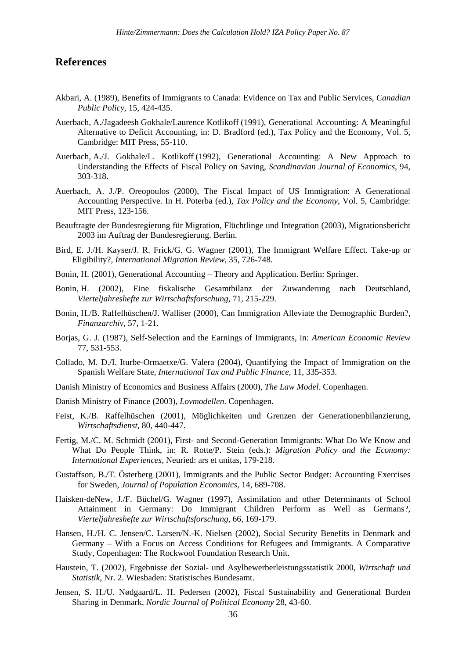#### **References**

- Akbari, A. (1989), Benefits of Immigrants to Canada: Evidence on Tax and Public Services, *Canadian Public Policy*, 15, 424-435.
- Auerbach, A./Jagadeesh Gokhale/Laurence Kotlikoff (1991), Generational Accounting: A Meaningful Alternative to Deficit Accounting, in: D. Bradford (ed.), Tax Policy and the Economy, Vol. 5, Cambridge: MIT Press, 55-110.
- Auerbach, A./J. Gokhale/L. Kotlikoff (1992), Generational Accounting: A New Approach to Understanding the Effects of Fiscal Policy on Saving, *Scandinavian Journal of Economics*, 94, 303-318.
- Auerbach, A. J./P. Oreopoulos (2000), The Fiscal Impact of US Immigration: A Generational Accounting Perspective. In H. Poterba (ed.), *Tax Policy and the Economy*, Vol. 5, Cambridge: MIT Press, 123-156.
- Beauftragte der Bundesregierung für Migration, Flüchtlinge und Integration (2003), Migrationsbericht 2003 im Auftrag der Bundesregierung. Berlin.
- Bird, E. J./H. Kayser/J. R. Frick/G. G. Wagner (2001), The Immigrant Welfare Effect. Take-up or Eligibility?, *International Migration Review*, 35, 726-748.
- Bonin, H. (2001), Generational Accounting Theory and Application. Berlin: Springer.
- Bonin, H. (2002), Eine fiskalische Gesamtbilanz der Zuwanderung nach Deutschland, *Vierteljahreshefte zur Wirtschaftsforschung*, 71, 215-229.
- Bonin, H./B. Raffelhüschen/J. Walliser (2000), Can Immigration Alleviate the Demographic Burden?, *Finanzarchiv*, 57, 1-21.
- Borjas, G. J. (1987), Self-Selection and the Earnings of Immigrants, in: *American Economic Review* 77, 531-553.
- Collado, M. D./I. Iturbe-Ormaetxe/G. Valera (2004), Quantifying the Impact of Immigration on the Spanish Welfare State, *International Tax and Public Finance*, 11, 335-353.
- Danish Ministry of Economics and Business Affairs (2000), *The Law Model*. Copenhagen.
- Danish Ministry of Finance (2003), *Lovmodellen*. Copenhagen.
- Feist, K./B. Raffelhüschen (2001), Möglichkeiten und Grenzen der Generationenbilanzierung, *Wirtschaftsdienst*, 80, 440-447.
- Fertig, M./C. M. Schmidt (2001), First- and Second-Generation Immigrants: What Do We Know and What Do People Think, in: R. Rotte/P. Stein (eds.): *Migration Policy and the Economy: International Experiences*, Neuried: ars et unitas, 179-218.
- Gustaffson, B./T. Österberg (2001), Immigrants and the Public Sector Budget: Accounting Exercises for Sweden, *Journal of Population Economics*, 14, 689-708.
- Haisken-deNew, J./F. Büchel/G. Wagner (1997), Assimilation and other Determinants of School Attainment in Germany: Do Immigrant Children Perform as Well as Germans?, *Vierteljahreshefte zur Wirtschaftsforschung*, 66, 169-179.
- Hansen, H./H. C. Jensen/C. Larsen/N.-K. Nielsen (2002), Social Security Benefits in Denmark and Germany – With a Focus on Access Conditions for Refugees and Immigrants. A Comparative Study, Copenhagen: The Rockwool Foundation Research Unit.
- Haustein, T. (2002), Ergebnisse der Sozial- und Asylbewerberleistungsstatistik 2000, *Wirtschaft und Statistik*, Nr. 2. Wiesbaden: Statistisches Bundesamt.
- Jensen, S. H./U. Nødgaard/L. H. Pedersen (2002), Fiscal Sustainability and Generational Burden Sharing in Denmark, *Nordic Journal of Political Economy* 28, 43-60.